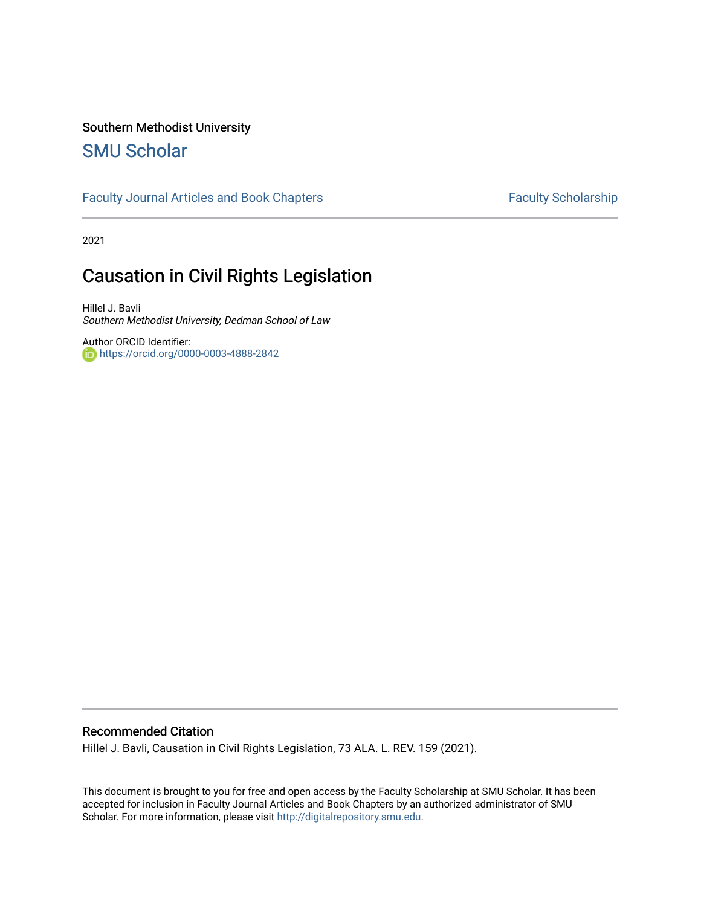# Southern Methodist University

# [SMU Scholar](https://scholar.smu.edu/)

## [Faculty Journal Articles and Book Chapters](https://scholar.smu.edu/law_faculty) Faculty Scholarship

2021

# Causation in Civil Rights Legislation

Hillel J. Bavli Southern Methodist University, Dedman School of Law

Author ORCID Identifier: <https://orcid.org/0000-0003-4888-2842>

# Recommended Citation

Hillel J. Bavli, Causation in Civil Rights Legislation, 73 ALA. L. REV. 159 (2021).

This document is brought to you for free and open access by the Faculty Scholarship at SMU Scholar. It has been accepted for inclusion in Faculty Journal Articles and Book Chapters by an authorized administrator of SMU Scholar. For more information, please visit [http://digitalrepository.smu.edu.](http://digitalrepository.smu.edu/)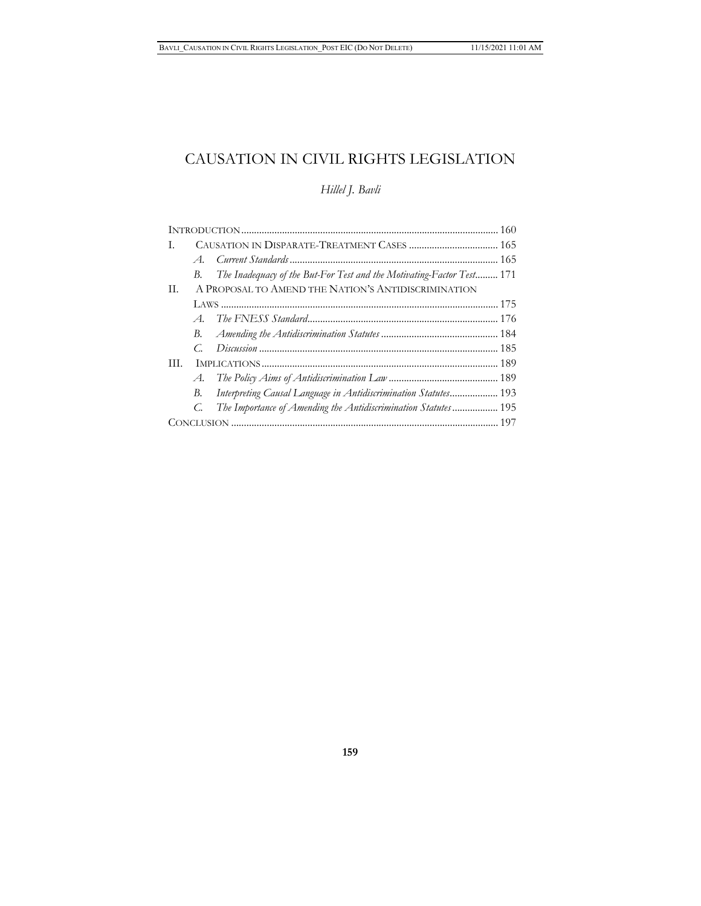# CAUSATION IN CIVIL RIGHTS LEGISLATION

# *Hillel J. Bavli*

| L.  |                                                                             |  |  |
|-----|-----------------------------------------------------------------------------|--|--|
|     | $A_{\cdot}$                                                                 |  |  |
|     | The Inadequacy of the But-For Test and the Motivating-Factor Test 171<br>В. |  |  |
| Н.  | A PROPOSAL TO AMEND THE NATION'S ANTIDISCRIMINATION                         |  |  |
|     |                                                                             |  |  |
|     |                                                                             |  |  |
|     |                                                                             |  |  |
|     |                                                                             |  |  |
| HL. |                                                                             |  |  |
|     |                                                                             |  |  |
|     | Interpreting Causal Language in Antidiscrimination Statutes 193<br>В.       |  |  |
|     | The Importance of Amending the Antidiscrimination Statutes 195<br>C.        |  |  |
|     |                                                                             |  |  |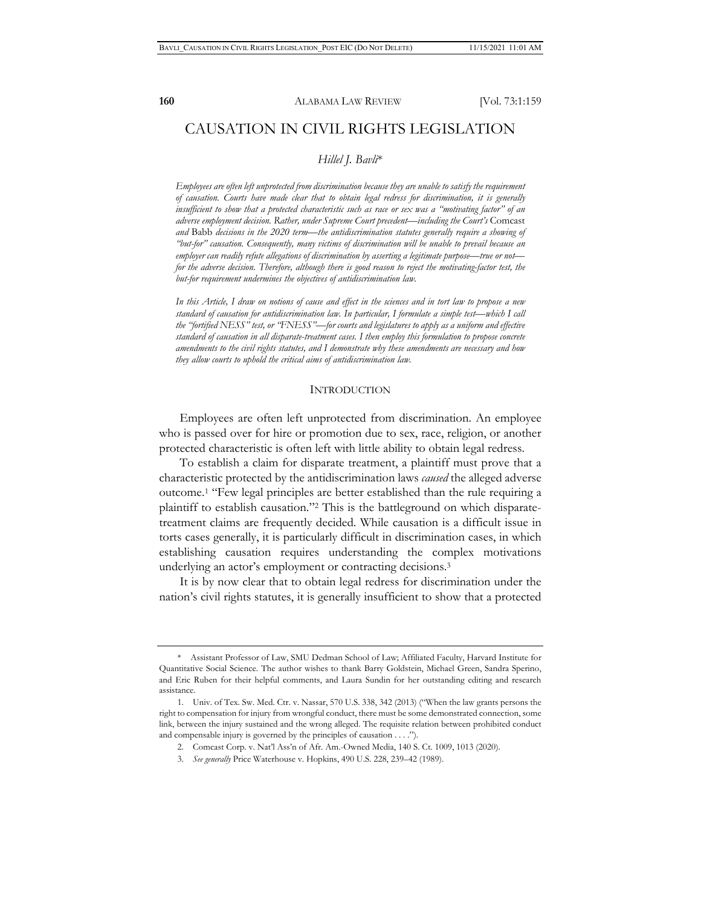## CAUSATION IN CIVIL RIGHTS LEGISLATION

### *Hillel J. Bavli*\*

*Employees are often left unprotected from discrimination because they are unable to satisfy the requirement of causation. Courts have made clear that to obtain legal redress for discrimination, it is generally insufficient to show that a protected characteristic such as race or sex was a "motivating factor" of an adverse employment decision. Rather, under Supreme Court precedent—including the Court's* Comcast *and* Babb *decisions in the 2020 term—the antidiscrimination statutes generally require a showing of "but-for" causation. Consequently, many victims of discrimination will be unable to prevail because an employer can readily refute allegations of discrimination by asserting a legitimate purpose—true or not for the adverse decision. Therefore, although there is good reason to reject the motivating-factor test, the but-for requirement undermines the objectives of antidiscrimination law.* 

*In this Article, I draw on notions of cause and effect in the sciences and in tort law to propose a new standard of causation for antidiscrimination law. In particular, I formulate a simple test—which I call the "fortified NESS" test, or "FNESS"—for courts and legislatures to apply as a uniform and effective standard of causation in all disparate-treatment cases. I then employ this formulation to propose concrete amendments to the civil rights statutes, and I demonstrate why these amendments are necessary and how they allow courts to uphold the critical aims of antidiscrimination law.* 

#### **INTRODUCTION**

Employees are often left unprotected from discrimination. An employee who is passed over for hire or promotion due to sex, race, religion, or another protected characteristic is often left with little ability to obtain legal redress.

To establish a claim for disparate treatment, a plaintiff must prove that a characteristic protected by the antidiscrimination laws *caused* the alleged adverse outcome.1 "Few legal principles are better established than the rule requiring a plaintiff to establish causation."2 This is the battleground on which disparatetreatment claims are frequently decided. While causation is a difficult issue in torts cases generally, it is particularly difficult in discrimination cases, in which establishing causation requires understanding the complex motivations underlying an actor's employment or contracting decisions.<sup>3</sup>

It is by now clear that to obtain legal redress for discrimination under the nation's civil rights statutes, it is generally insufficient to show that a protected

<sup>\*</sup> Assistant Professor of Law, SMU Dedman School of Law; Affiliated Faculty, Harvard Institute for Quantitative Social Science. The author wishes to thank Barry Goldstein, Michael Green, Sandra Sperino, and Eric Ruben for their helpful comments, and Laura Sundin for her outstanding editing and research assistance.

<sup>1.</sup> Univ. of Tex. Sw. Med. Ctr. v. Nassar, 570 U.S. 338, 342 (2013) ("When the law grants persons the right to compensation for injury from wrongful conduct, there must be some demonstrated connection, some link, between the injury sustained and the wrong alleged. The requisite relation between prohibited conduct and compensable injury is governed by the principles of causation . . . .").

<sup>2.</sup> Comcast Corp. v. Nat'l Ass'n of Afr. Am.-Owned Media, 140 S. Ct. 1009, 1013 (2020).

<sup>3.</sup> *See generally* Price Waterhouse v. Hopkins, 490 U.S. 228, 239–42 (1989).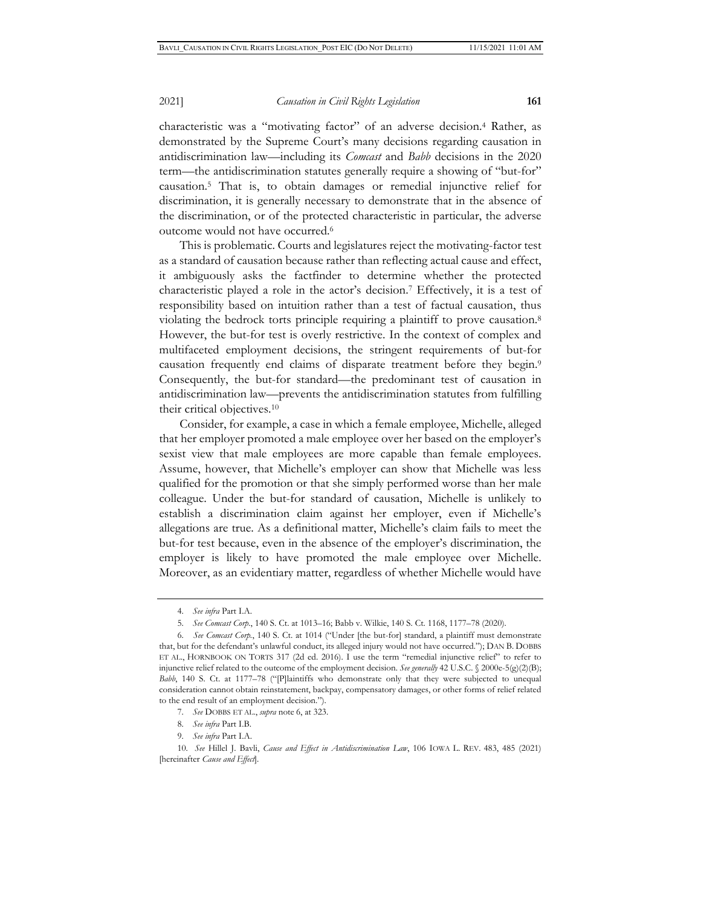characteristic was a "motivating factor" of an adverse decision.4 Rather, as demonstrated by the Supreme Court's many decisions regarding causation in antidiscrimination law—including its *Comcast* and *Babb* decisions in the 2020 term—the antidiscrimination statutes generally require a showing of "but-for" causation.5 That is, to obtain damages or remedial injunctive relief for discrimination, it is generally necessary to demonstrate that in the absence of the discrimination, or of the protected characteristic in particular, the adverse outcome would not have occurred.6

This is problematic. Courts and legislatures reject the motivating-factor test as a standard of causation because rather than reflecting actual cause and effect, it ambiguously asks the factfinder to determine whether the protected characteristic played a role in the actor's decision.7 Effectively, it is a test of responsibility based on intuition rather than a test of factual causation, thus violating the bedrock torts principle requiring a plaintiff to prove causation.8 However, the but-for test is overly restrictive. In the context of complex and multifaceted employment decisions, the stringent requirements of but-for causation frequently end claims of disparate treatment before they begin.9 Consequently, the but-for standard—the predominant test of causation in antidiscrimination law—prevents the antidiscrimination statutes from fulfilling their critical objectives.10

Consider, for example, a case in which a female employee, Michelle, alleged that her employer promoted a male employee over her based on the employer's sexist view that male employees are more capable than female employees. Assume, however, that Michelle's employer can show that Michelle was less qualified for the promotion or that she simply performed worse than her male colleague. Under the but-for standard of causation, Michelle is unlikely to establish a discrimination claim against her employer, even if Michelle's allegations are true. As a definitional matter, Michelle's claim fails to meet the but-for test because, even in the absence of the employer's discrimination, the employer is likely to have promoted the male employee over Michelle. Moreover, as an evidentiary matter, regardless of whether Michelle would have

- 7. *See* DOBBS ET AL., *supra* note 6, at 323.
- 8. *See infra* Part I.B.
- 9. *See infra* Part I.A.

<sup>4.</sup> *See infra* Part I.A.

<sup>5.</sup> *See Comcast Corp.*, 140 S. Ct. at 1013–16; Babb v. Wilkie, 140 S. Ct. 1168, 1177–78 (2020).

<sup>6.</sup> *See Comcast Corp.*, 140 S. Ct. at 1014 ("Under [the but-for] standard, a plaintiff must demonstrate that, but for the defendant's unlawful conduct, its alleged injury would not have occurred."); DAN B. DOBBS ET AL., HORNBOOK ON TORTS 317 (2d ed. 2016). I use the term "remedial injunctive relief" to refer to injunctive relief related to the outcome of the employment decision. *See generally* 42 U.S.C. § 2000e-5(g)(2)(B); *Babb*, 140 S. Ct. at 1177–78 ("[P]laintiffs who demonstrate only that they were subjected to unequal consideration cannot obtain reinstatement, backpay, compensatory damages, or other forms of relief related to the end result of an employment decision.").

<sup>10.</sup> *See* Hillel J. Bavli, *Cause and Effect in Antidiscrimination Law*, 106 IOWA L. REV. 483, 485 (2021) [hereinafter *Cause and Effect*].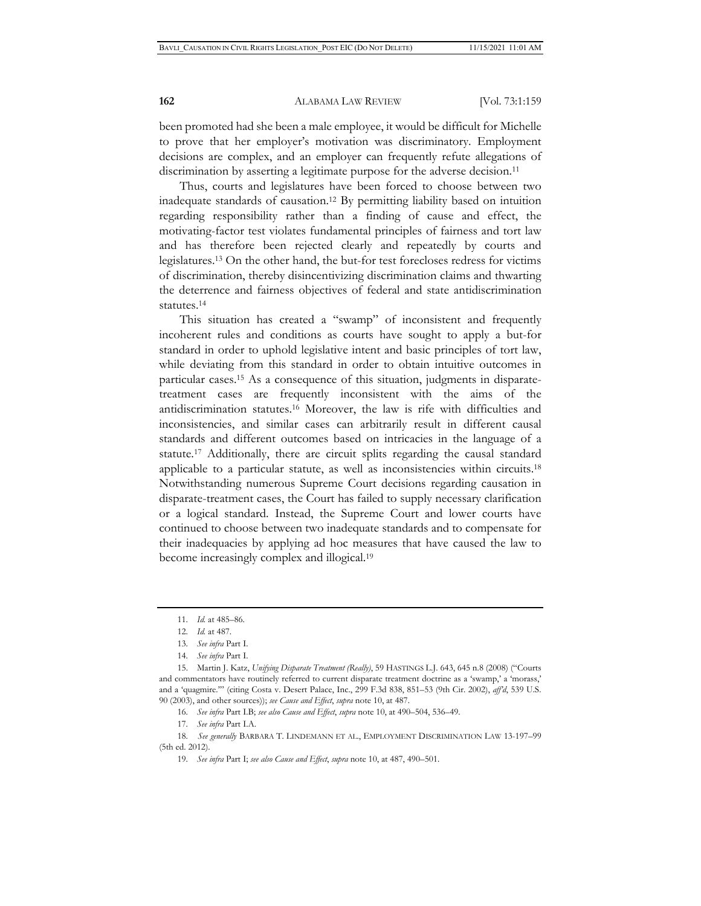been promoted had she been a male employee, it would be difficult for Michelle to prove that her employer's motivation was discriminatory. Employment decisions are complex, and an employer can frequently refute allegations of discrimination by asserting a legitimate purpose for the adverse decision.<sup>11</sup>

Thus, courts and legislatures have been forced to choose between two inadequate standards of causation.12 By permitting liability based on intuition regarding responsibility rather than a finding of cause and effect, the motivating-factor test violates fundamental principles of fairness and tort law and has therefore been rejected clearly and repeatedly by courts and legislatures.13 On the other hand, the but-for test forecloses redress for victims of discrimination, thereby disincentivizing discrimination claims and thwarting the deterrence and fairness objectives of federal and state antidiscrimination statutes.14

This situation has created a "swamp" of inconsistent and frequently incoherent rules and conditions as courts have sought to apply a but-for standard in order to uphold legislative intent and basic principles of tort law, while deviating from this standard in order to obtain intuitive outcomes in particular cases.15 As a consequence of this situation, judgments in disparatetreatment cases are frequently inconsistent with the aims of the antidiscrimination statutes.16 Moreover, the law is rife with difficulties and inconsistencies, and similar cases can arbitrarily result in different causal standards and different outcomes based on intricacies in the language of a statute.17 Additionally, there are circuit splits regarding the causal standard applicable to a particular statute, as well as inconsistencies within circuits.18 Notwithstanding numerous Supreme Court decisions regarding causation in disparate-treatment cases, the Court has failed to supply necessary clarification or a logical standard. Instead, the Supreme Court and lower courts have continued to choose between two inadequate standards and to compensate for their inadequacies by applying ad hoc measures that have caused the law to become increasingly complex and illogical.19

16. *See infra* Part I.B; *see also Cause and Effect*, *supra* note 10, at 490–504, 536–49.

<sup>11.</sup> *Id.* at 485–86.

<sup>12.</sup> *Id.* at 487.

<sup>13.</sup> *See infra* Part I.

<sup>14.</sup> *See infra* Part I.

<sup>15.</sup> Martin J. Katz, *Unifying Disparate Treatment (Really)*, 59 HASTINGS L.J. 643, 645 n.8 (2008) ("Courts and commentators have routinely referred to current disparate treatment doctrine as a 'swamp,' a 'morass,' and a 'quagmire.'" (citing Costa v. Desert Palace, Inc., 299 F.3d 838, 851–53 (9th Cir. 2002), *aff'd*, 539 U.S. 90 (2003), and other sources)); *see Cause and Effect*, *supra* note 10, at 487.

<sup>17.</sup> *See infra* Part I.A.

<sup>18.</sup> *See generally* BARBARA T. LINDEMANN ET AL., EMPLOYMENT DISCRIMINATION LAW 13-197–99 (5th ed. 2012).

<sup>19.</sup> *See infra* Part I; *see also Cause and Effect*, *supra* note 10, at 487, 490–501.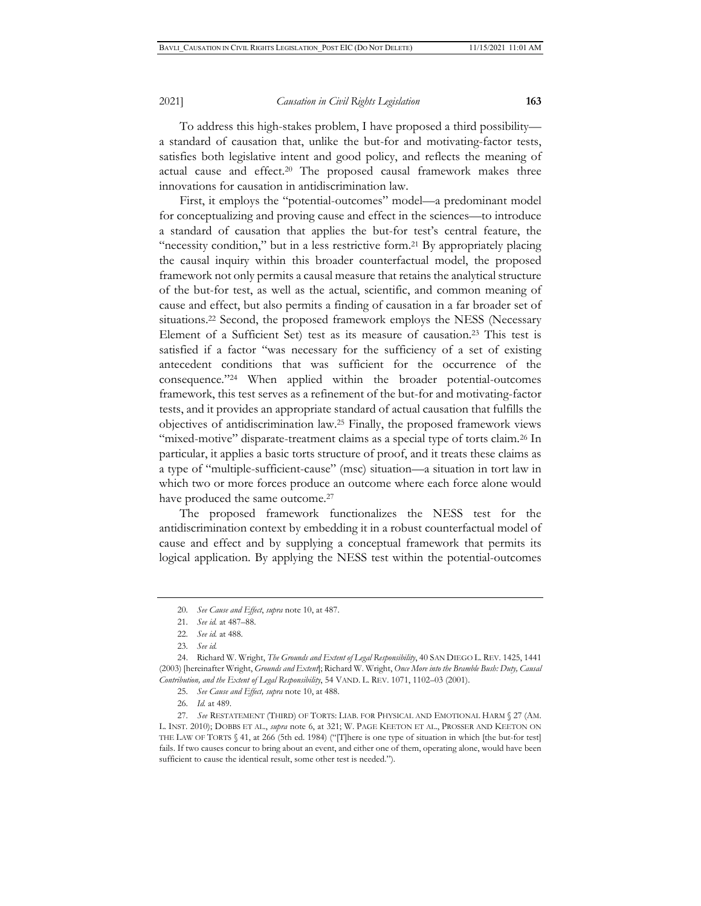To address this high-stakes problem, I have proposed a third possibility a standard of causation that, unlike the but-for and motivating-factor tests, satisfies both legislative intent and good policy, and reflects the meaning of actual cause and effect.20 The proposed causal framework makes three innovations for causation in antidiscrimination law.

First, it employs the "potential-outcomes" model—a predominant model for conceptualizing and proving cause and effect in the sciences—to introduce a standard of causation that applies the but-for test's central feature, the "necessity condition," but in a less restrictive form.<sup>21</sup> By appropriately placing the causal inquiry within this broader counterfactual model, the proposed framework not only permits a causal measure that retains the analytical structure of the but-for test, as well as the actual, scientific, and common meaning of cause and effect, but also permits a finding of causation in a far broader set of situations.<sup>22</sup> Second, the proposed framework employs the NESS (Necessary Element of a Sufficient Set) test as its measure of causation.23 This test is satisfied if a factor "was necessary for the sufficiency of a set of existing antecedent conditions that was sufficient for the occurrence of the consequence."24 When applied within the broader potential-outcomes framework, this test serves as a refinement of the but-for and motivating-factor tests, and it provides an appropriate standard of actual causation that fulfills the objectives of antidiscrimination law.25 Finally, the proposed framework views "mixed-motive" disparate-treatment claims as a special type of torts claim.<sup>26</sup> In particular, it applies a basic torts structure of proof, and it treats these claims as a type of "multiple-sufficient-cause" (msc) situation—a situation in tort law in which two or more forces produce an outcome where each force alone would have produced the same outcome.<sup>27</sup>

The proposed framework functionalizes the NESS test for the antidiscrimination context by embedding it in a robust counterfactual model of cause and effect and by supplying a conceptual framework that permits its logical application. By applying the NESS test within the potential-outcomes

26. *Id.* at 489.

<sup>20.</sup> *See Cause and Effect*, *supra* note 10, at 487.

<sup>21.</sup> *See id.* at 487–88.

<sup>22.</sup> *See id.* at 488.

<sup>23.</sup> *See id.*

<sup>24.</sup> Richard W. Wright, *The Grounds and Extent of Legal Responsibility*, 40 SAN DIEGO L. REV. 1425, 1441 (2003) [hereinafter Wright, *Grounds and Extent*]; Richard W. Wright, *Once More into the Bramble Bush: Duty, Causal Contribution, and the Extent of Legal Responsibility*, 54 VAND. L. REV. 1071, 1102–03 (2001).

<sup>25.</sup> *See Cause and Effect, supra* note 10, at 488.

<sup>27.</sup> *See* RESTATEMENT (THIRD) OF TORTS: LIAB. FOR PHYSICAL AND EMOTIONAL HARM § 27 (AM. L. INST. 2010); DOBBS ET AL., *supra* note 6, at 321; W. PAGE KEETON ET AL., PROSSER AND KEETON ON THE LAW OF TORTS § 41, at 266 (5th ed. 1984) ("[T]here is one type of situation in which [the but-for test] fails. If two causes concur to bring about an event, and either one of them, operating alone, would have been sufficient to cause the identical result, some other test is needed.").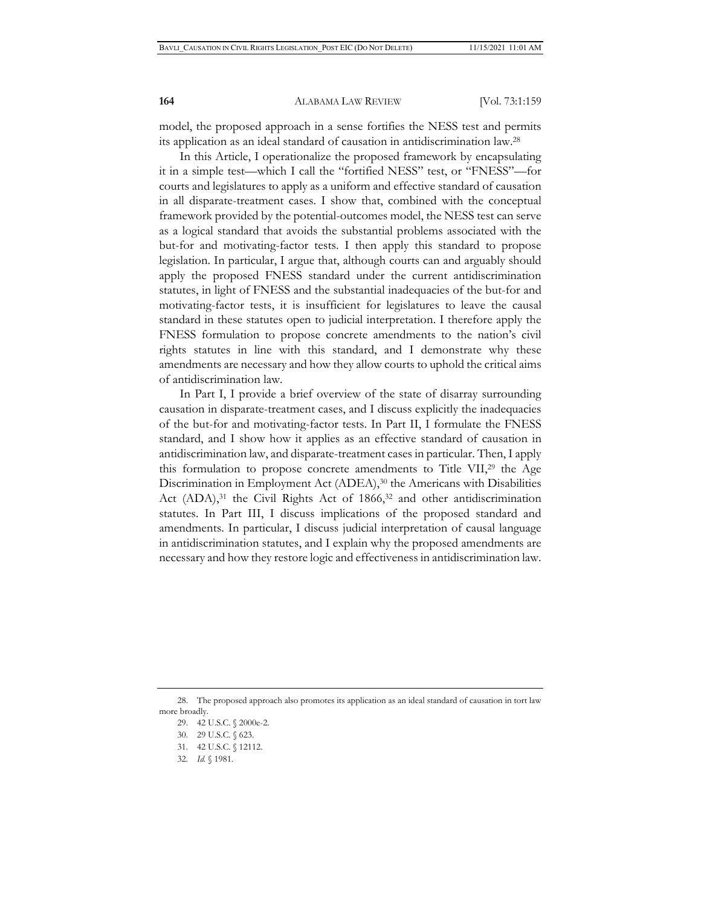model, the proposed approach in a sense fortifies the NESS test and permits its application as an ideal standard of causation in antidiscrimination law.28

In this Article, I operationalize the proposed framework by encapsulating it in a simple test—which I call the "fortified NESS" test, or "FNESS"—for courts and legislatures to apply as a uniform and effective standard of causation in all disparate-treatment cases. I show that, combined with the conceptual framework provided by the potential-outcomes model, the NESS test can serve as a logical standard that avoids the substantial problems associated with the but-for and motivating-factor tests. I then apply this standard to propose legislation. In particular, I argue that, although courts can and arguably should apply the proposed FNESS standard under the current antidiscrimination statutes, in light of FNESS and the substantial inadequacies of the but-for and motivating-factor tests, it is insufficient for legislatures to leave the causal standard in these statutes open to judicial interpretation. I therefore apply the FNESS formulation to propose concrete amendments to the nation's civil rights statutes in line with this standard, and I demonstrate why these amendments are necessary and how they allow courts to uphold the critical aims of antidiscrimination law.

In Part I, I provide a brief overview of the state of disarray surrounding causation in disparate-treatment cases, and I discuss explicitly the inadequacies of the but-for and motivating-factor tests. In Part II, I formulate the FNESS standard, and I show how it applies as an effective standard of causation in antidiscrimination law, and disparate-treatment cases in particular. Then, I apply this formulation to propose concrete amendments to Title VII,29 the Age Discrimination in Employment Act (ADEA),<sup>30</sup> the Americans with Disabilities Act  $(ADA)$ ,<sup>31</sup> the Civil Rights Act of 1866,<sup>32</sup> and other antidiscrimination statutes. In Part III, I discuss implications of the proposed standard and amendments. In particular, I discuss judicial interpretation of causal language in antidiscrimination statutes, and I explain why the proposed amendments are necessary and how they restore logic and effectiveness in antidiscrimination law.

<sup>28.</sup> The proposed approach also promotes its application as an ideal standard of causation in tort law more broadly.

<sup>29. 42</sup> U.S.C. § 2000e-2.

<sup>30. 29</sup> U.S.C. § 623.

<sup>31. 42</sup> U.S.C. § 12112.

<sup>32.</sup> *Id.* § 1981.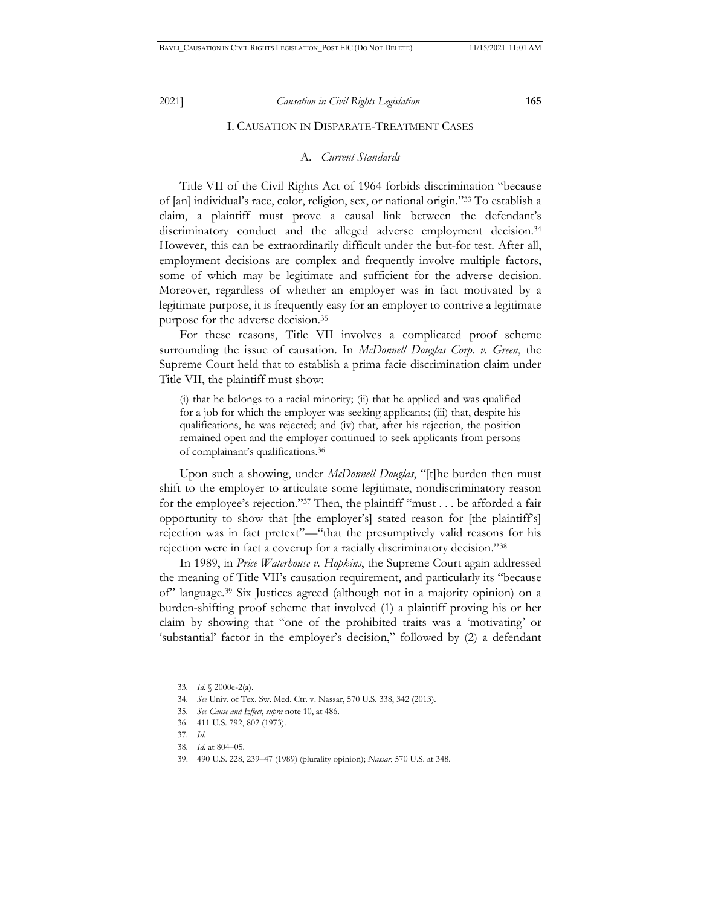#### I. CAUSATION IN DISPARATE-TREATMENT CASES

## A. *Current Standards*

Title VII of the Civil Rights Act of 1964 forbids discrimination "because of [an] individual's race, color, religion, sex, or national origin."33 To establish a claim, a plaintiff must prove a causal link between the defendant's discriminatory conduct and the alleged adverse employment decision.<sup>34</sup> However, this can be extraordinarily difficult under the but-for test. After all, employment decisions are complex and frequently involve multiple factors, some of which may be legitimate and sufficient for the adverse decision. Moreover, regardless of whether an employer was in fact motivated by a legitimate purpose, it is frequently easy for an employer to contrive a legitimate purpose for the adverse decision.35

For these reasons, Title VII involves a complicated proof scheme surrounding the issue of causation. In *McDonnell Douglas Corp. v. Green*, the Supreme Court held that to establish a prima facie discrimination claim under Title VII, the plaintiff must show:

(i) that he belongs to a racial minority; (ii) that he applied and was qualified for a job for which the employer was seeking applicants; (iii) that, despite his qualifications, he was rejected; and (iv) that, after his rejection, the position remained open and the employer continued to seek applicants from persons of complainant's qualifications.36

Upon such a showing, under *McDonnell Douglas*, "[t]he burden then must shift to the employer to articulate some legitimate, nondiscriminatory reason for the employee's rejection."37 Then, the plaintiff "must . . . be afforded a fair opportunity to show that [the employer's] stated reason for [the plaintiff's] rejection was in fact pretext"—"that the presumptively valid reasons for his rejection were in fact a coverup for a racially discriminatory decision."38

In 1989, in *Price Waterhouse v. Hopkins*, the Supreme Court again addressed the meaning of Title VII's causation requirement, and particularly its "because of" language.39 Six Justices agreed (although not in a majority opinion) on a burden-shifting proof scheme that involved (1) a plaintiff proving his or her claim by showing that "one of the prohibited traits was a 'motivating' or 'substantial' factor in the employer's decision," followed by (2) a defendant

<sup>33.</sup> *Id.* § 2000e-2(a).

<sup>34.</sup> *See* Univ. of Tex. Sw. Med. Ctr. v. Nassar, 570 U.S. 338, 342 (2013).

<sup>35.</sup> *See Cause and Effect*, *supra* note 10, at 486.

<sup>36. 411</sup> U.S. 792, 802 (1973).

<sup>37.</sup> *Id.*

<sup>38.</sup> *Id.* at 804–05.

<sup>39. 490</sup> U.S. 228, 239–47 (1989) (plurality opinion); *Nassar*, 570 U.S. at 348.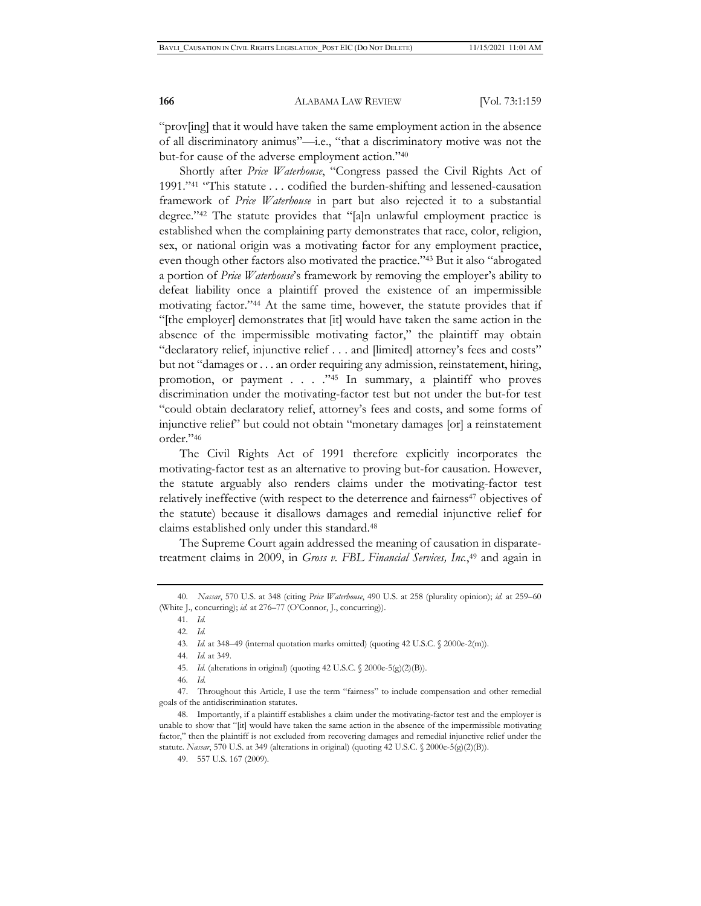"prov[ing] that it would have taken the same employment action in the absence of all discriminatory animus"—i.e., "that a discriminatory motive was not the but-for cause of the adverse employment action."40

Shortly after *Price Waterhouse*, "Congress passed the Civil Rights Act of 1991."41 "This statute . . . codified the burden-shifting and lessened-causation framework of *Price Waterhouse* in part but also rejected it to a substantial degree."42 The statute provides that "[a]n unlawful employment practice is established when the complaining party demonstrates that race, color, religion, sex, or national origin was a motivating factor for any employment practice, even though other factors also motivated the practice."43 But it also "abrogated a portion of *Price Waterhouse*'s framework by removing the employer's ability to defeat liability once a plaintiff proved the existence of an impermissible motivating factor."44 At the same time, however, the statute provides that if "[the employer] demonstrates that [it] would have taken the same action in the absence of the impermissible motivating factor," the plaintiff may obtain "declaratory relief, injunctive relief . . . and [limited] attorney's fees and costs" but not "damages or . . . an order requiring any admission, reinstatement, hiring, promotion, or payment . . . ."45 In summary, a plaintiff who proves discrimination under the motivating-factor test but not under the but-for test "could obtain declaratory relief, attorney's fees and costs, and some forms of injunctive relief" but could not obtain "monetary damages [or] a reinstatement order."46

The Civil Rights Act of 1991 therefore explicitly incorporates the motivating-factor test as an alternative to proving but-for causation. However, the statute arguably also renders claims under the motivating-factor test relatively ineffective (with respect to the deterrence and fairness<sup>47</sup> objectives of the statute) because it disallows damages and remedial injunctive relief for claims established only under this standard.48

The Supreme Court again addressed the meaning of causation in disparatetreatment claims in 2009, in *Gross v. FBL Financial Services, Inc.*, 49 and again in

<sup>40.</sup> *Nassar*, 570 U.S. at 348 (citing *Price Waterhouse*, 490 U.S. at 258 (plurality opinion); *id.* at 259–60 (White J., concurring); *id.* at 276–77 (O'Connor, J., concurring)).

<sup>41.</sup> *Id.*

<sup>42.</sup> *Id.*

<sup>43.</sup> *Id.* at 348–49 (internal quotation marks omitted) (quoting 42 U.S.C. § 2000e-2(m)).

<sup>44.</sup> *Id.* at 349.

 <sup>45.</sup> *Id.* (alterations in original) (quoting 42 U.S.C. § 2000e-5(g)(2)(B)).

<sup>46.</sup> *Id*.

<sup>47.</sup> Throughout this Article, I use the term "fairness" to include compensation and other remedial goals of the antidiscrimination statutes.

 <sup>48.</sup> Importantly, if a plaintiff establishes a claim under the motivating-factor test and the employer is unable to show that "[it] would have taken the same action in the absence of the impermissible motivating factor," then the plaintiff is not excluded from recovering damages and remedial injunctive relief under the statute. *Nassar*, 570 U.S. at 349 (alterations in original) (quoting 42 U.S.C. § 2000e-5(g)(2)(B)).

<sup>49. 557</sup> U.S. 167 (2009).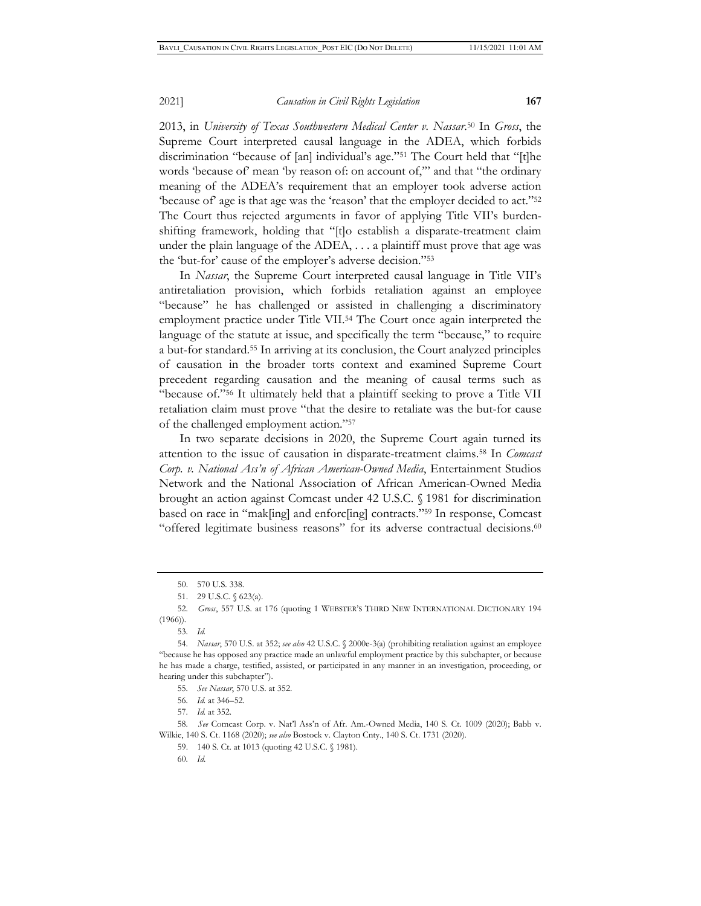2013, in *University of Texas Southwestern Medical Center v. Nassar*. 50 In *Gross*, the Supreme Court interpreted causal language in the ADEA, which forbids discrimination "because of [an] individual's age."51 The Court held that "[t]he words 'because of' mean 'by reason of: on account of," and that "the ordinary meaning of the ADEA's requirement that an employer took adverse action 'because of' age is that age was the 'reason' that the employer decided to act."52 The Court thus rejected arguments in favor of applying Title VII's burdenshifting framework, holding that "[t]o establish a disparate-treatment claim under the plain language of the ADEA, . . . a plaintiff must prove that age was the 'but-for' cause of the employer's adverse decision."53

In *Nassar*, the Supreme Court interpreted causal language in Title VII's antiretaliation provision, which forbids retaliation against an employee "because" he has challenged or assisted in challenging a discriminatory employment practice under Title VII.54 The Court once again interpreted the language of the statute at issue, and specifically the term "because," to require a but-for standard.55 In arriving at its conclusion, the Court analyzed principles of causation in the broader torts context and examined Supreme Court precedent regarding causation and the meaning of causal terms such as "because of."56 It ultimately held that a plaintiff seeking to prove a Title VII retaliation claim must prove "that the desire to retaliate was the but-for cause of the challenged employment action."57

In two separate decisions in 2020, the Supreme Court again turned its attention to the issue of causation in disparate-treatment claims.58 In *Comcast Corp. v. National Ass'n of African American-Owned Media*, Entertainment Studios Network and the National Association of African American-Owned Media brought an action against Comcast under 42 U.S.C. § 1981 for discrimination based on race in "mak[ing] and enforc[ing] contracts."59 In response, Comcast "offered legitimate business reasons" for its adverse contractual decisions.<sup>60</sup>

55. *See Nassar*, 570 U.S. at 352.

57. *Id.* at 352.

58. *See* Comcast Corp. v. Nat'l Ass'n of Afr. Am.-Owned Media, 140 S. Ct. 1009 (2020); Babb v. Wilkie, 140 S. Ct. 1168 (2020); *see also* Bostock v. Clayton Cnty., 140 S. Ct. 1731 (2020).

59. 140 S. Ct. at 1013 (quoting 42 U.S.C. § 1981).

60. *Id*.

<sup>50. 570</sup> U.S. 338.

<sup>51. 29</sup> U.S.C. § 623(a).

<sup>52.</sup> *Gross*, 557 U.S. at 176 (quoting 1 WEBSTER'S THIRD NEW INTERNATIONAL DICTIONARY 194  $(1966)$ ).

<sup>53.</sup> *Id.*

<sup>54.</sup> *Nassar*, 570 U.S. at 352; *see also* 42 U.S.C. § 2000e-3(a) (prohibiting retaliation against an employee "because he has opposed any practice made an unlawful employment practice by this subchapter, or because he has made a charge, testified, assisted, or participated in any manner in an investigation, proceeding, or hearing under this subchapter").

<sup>56.</sup> *Id.* at 346–52.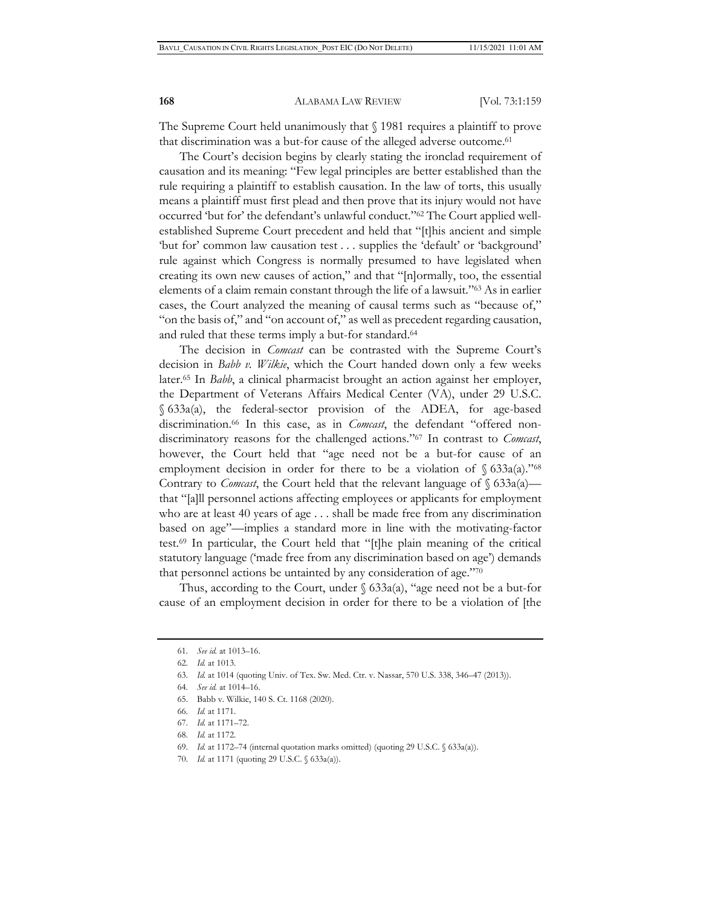The Supreme Court held unanimously that § 1981 requires a plaintiff to prove that discrimination was a but-for cause of the alleged adverse outcome.<sup>61</sup>

The Court's decision begins by clearly stating the ironclad requirement of causation and its meaning: "Few legal principles are better established than the rule requiring a plaintiff to establish causation. In the law of torts, this usually means a plaintiff must first plead and then prove that its injury would not have occurred 'but for' the defendant's unlawful conduct."62 The Court applied wellestablished Supreme Court precedent and held that "[t]his ancient and simple 'but for' common law causation test . . . supplies the 'default' or 'background' rule against which Congress is normally presumed to have legislated when creating its own new causes of action," and that "[n]ormally, too, the essential elements of a claim remain constant through the life of a lawsuit."63 As in earlier cases, the Court analyzed the meaning of causal terms such as "because of," "on the basis of," and "on account of," as well as precedent regarding causation, and ruled that these terms imply a but-for standard.64

The decision in *Comcast* can be contrasted with the Supreme Court's decision in *Babb v. Wilkie*, which the Court handed down only a few weeks later.65 In *Babb*, a clinical pharmacist brought an action against her employer, the Department of Veterans Affairs Medical Center (VA), under 29 U.S.C. § 633a(a), the federal-sector provision of the ADEA, for age-based discrimination.66 In this case, as in *Comcast*, the defendant "offered nondiscriminatory reasons for the challenged actions."67 In contrast to *Comcast*, however, the Court held that "age need not be a but-for cause of an employment decision in order for there to be a violation of  $\S$  633a(a).<sup>768</sup> Contrary to *Comcast*, the Court held that the relevant language of § 633a(a) that "[a]ll personnel actions affecting employees or applicants for employment who are at least 40 years of age . . . shall be made free from any discrimination based on age"—implies a standard more in line with the motivating-factor test.69 In particular, the Court held that "[t]he plain meaning of the critical statutory language ('made free from any discrimination based on age') demands that personnel actions be untainted by any consideration of age."70

Thus, according to the Court, under  $\S$  633a(a), "age need not be a but-for cause of an employment decision in order for there to be a violation of [the

67. *Id.* at 1171–72.

<sup>61.</sup> *See id.* at 1013–16.

<sup>62.</sup> *Id.* at 1013.

<sup>63.</sup> *Id.* at 1014 (quoting Univ. of Tex. Sw. Med. Ctr. v. Nassar, 570 U.S. 338, 346–47 (2013)).

<sup>64.</sup> *See id.* at 1014–16.

<sup>65.</sup> Babb v. Wilkie, 140 S. Ct. 1168 (2020).

<sup>66.</sup> *Id.* at 1171.

<sup>68.</sup> *Id.* at 1172.

<sup>69.</sup> *Id.* at 1172–74 (internal quotation marks omitted) (quoting 29 U.S.C. § 633a(a)).

<sup>70.</sup> *Id.* at 1171 (quoting 29 U.S.C. § 633a(a)).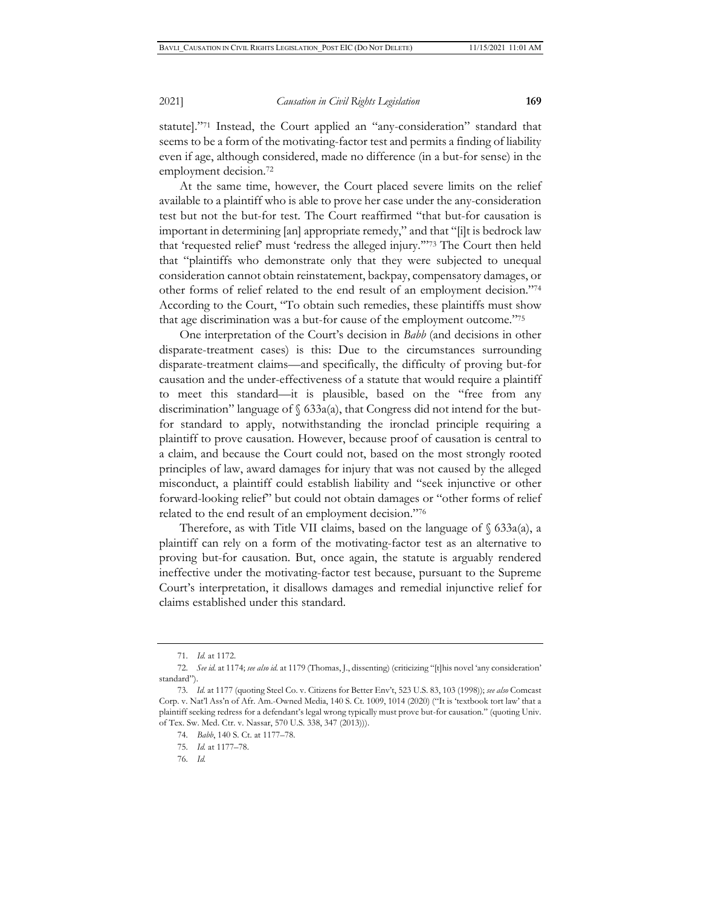statute]."71 Instead, the Court applied an "any-consideration" standard that seems to be a form of the motivating-factor test and permits a finding of liability even if age, although considered, made no difference (in a but-for sense) in the employment decision.72

At the same time, however, the Court placed severe limits on the relief available to a plaintiff who is able to prove her case under the any-consideration test but not the but-for test. The Court reaffirmed "that but-for causation is important in determining [an] appropriate remedy," and that "[i]t is bedrock law that 'requested relief' must 'redress the alleged injury.'"73 The Court then held that "plaintiffs who demonstrate only that they were subjected to unequal consideration cannot obtain reinstatement, backpay, compensatory damages, or other forms of relief related to the end result of an employment decision."74 According to the Court, "To obtain such remedies, these plaintiffs must show that age discrimination was a but-for cause of the employment outcome."75

One interpretation of the Court's decision in *Babb* (and decisions in other disparate-treatment cases) is this: Due to the circumstances surrounding disparate-treatment claims—and specifically, the difficulty of proving but-for causation and the under-effectiveness of a statute that would require a plaintiff to meet this standard—it is plausible, based on the "free from any discrimination" language of § 633a(a), that Congress did not intend for the butfor standard to apply, notwithstanding the ironclad principle requiring a plaintiff to prove causation. However, because proof of causation is central to a claim, and because the Court could not, based on the most strongly rooted principles of law, award damages for injury that was not caused by the alleged misconduct, a plaintiff could establish liability and "seek injunctive or other forward-looking relief" but could not obtain damages or "other forms of relief related to the end result of an employment decision."76

Therefore, as with Title VII claims, based on the language of  $\S$  633a(a), a plaintiff can rely on a form of the motivating-factor test as an alternative to proving but-for causation. But, once again, the statute is arguably rendered ineffective under the motivating-factor test because, pursuant to the Supreme Court's interpretation, it disallows damages and remedial injunctive relief for claims established under this standard.

<sup>71.</sup> *Id.* at 1172.

<sup>72.</sup> *See id.* at 1174; *see also id.* at 1179 (Thomas, J., dissenting) (criticizing "[t]his novel 'any consideration' standard").

<sup>73.</sup> *Id.* at 1177 (quoting Steel Co. v. Citizens for Better Env't, 523 U.S. 83, 103 (1998)); *see also* Comcast Corp. v. Nat'l Ass'n of Afr. Am.-Owned Media, 140 S. Ct. 1009, 1014 (2020) ("It is 'textbook tort law' that a plaintiff seeking redress for a defendant's legal wrong typically must prove but-for causation." (quoting Univ. of Tex. Sw. Med. Ctr. v. Nassar, 570 U.S. 338, 347 (2013))).

<sup>74.</sup> *Babb*, 140 S. Ct. at 1177–78.

<sup>75.</sup> *Id.* at 1177–78.

<sup>76.</sup> *Id.*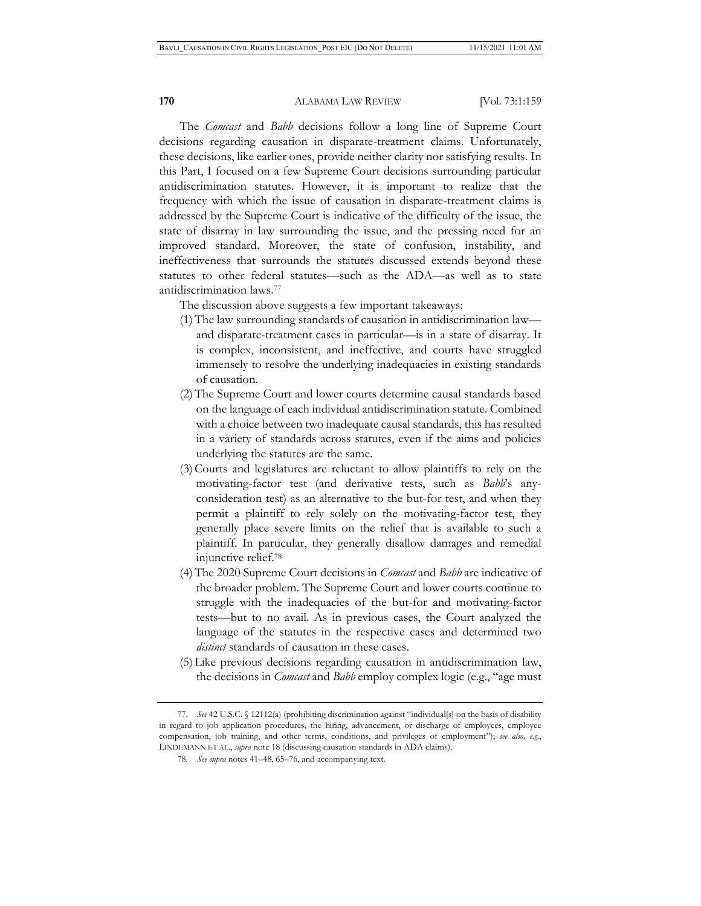The *Comcast* and *Babb* decisions follow a long line of Supreme Court decisions regarding causation in disparate-treatment claims. Unfortunately, these decisions, like earlier ones, provide neither clarity nor satisfying results. In this Part, I focused on a few Supreme Court decisions surrounding particular antidiscrimination statutes. However, it is important to realize that the frequency with which the issue of causation in disparate-treatment claims is addressed by the Supreme Court is indicative of the difficulty of the issue, the state of disarray in law surrounding the issue, and the pressing need for an improved standard. Moreover, the state of confusion, instability, and ineffectiveness that surrounds the statutes discussed extends beyond these statutes to other federal statutes—such as the ADA—as well as to state antidiscrimination laws.77

The discussion above suggests a few important takeaways:

- (1)The law surrounding standards of causation in antidiscrimination law and disparate-treatment cases in particular—is in a state of disarray. It is complex, inconsistent, and ineffective, and courts have struggled immensely to resolve the underlying inadequacies in existing standards of causation.
- (2)The Supreme Court and lower courts determine causal standards based on the language of each individual antidiscrimination statute. Combined with a choice between two inadequate causal standards, this has resulted in a variety of standards across statutes, even if the aims and policies underlying the statutes are the same.
- (3)Courts and legislatures are reluctant to allow plaintiffs to rely on the motivating-factor test (and derivative tests, such as *Babb*'s anyconsideration test) as an alternative to the but-for test, and when they permit a plaintiff to rely solely on the motivating-factor test, they generally place severe limits on the relief that is available to such a plaintiff. In particular, they generally disallow damages and remedial injunctive relief.78
- (4)The 2020 Supreme Court decisions in *Comcast* and *Babb* are indicative of the broader problem. The Supreme Court and lower courts continue to struggle with the inadequacies of the but-for and motivating-factor tests—but to no avail. As in previous cases, the Court analyzed the language of the statutes in the respective cases and determined two *distinct* standards of causation in these cases.
- (5)Like previous decisions regarding causation in antidiscrimination law, the decisions in *Comcast* and *Babb* employ complex logic (e.g., "age must

<sup>77.</sup> *See* 42 U.S.C. § 12112(a) (prohibiting discrimination against "individual[s] on the basis of disability in regard to job application procedures, the hiring, advancement, or discharge of employees, employee compensation, job training, and other terms, conditions, and privileges of employment"); *see also, e.g.*, LINDEMANN ET AL., *supra* note 18 (discussing causation standards in ADA claims).

 <sup>78.</sup> *See supra* notes 41–48, 65–76, and accompanying text.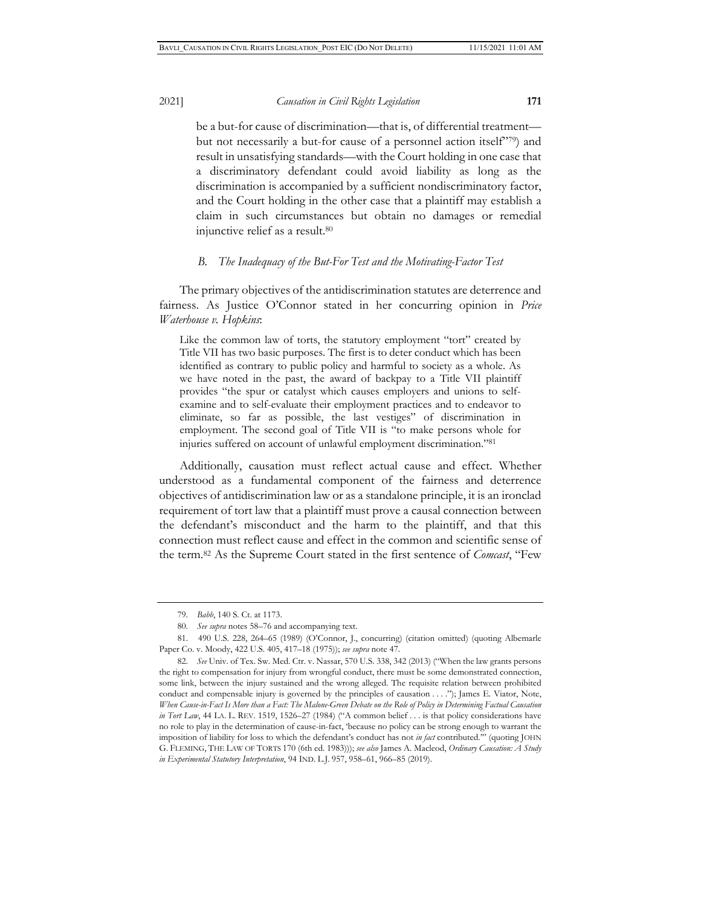be a but-for cause of discrimination—that is, of differential treatment but not necessarily a but-for cause of a personnel action itself"79) and result in unsatisfying standards—with the Court holding in one case that a discriminatory defendant could avoid liability as long as the discrimination is accompanied by a sufficient nondiscriminatory factor, and the Court holding in the other case that a plaintiff may establish a claim in such circumstances but obtain no damages or remedial injunctive relief as a result.80

### *B. The Inadequacy of the But-For Test and the Motivating-Factor Test*

The primary objectives of the antidiscrimination statutes are deterrence and fairness. As Justice O'Connor stated in her concurring opinion in *Price Waterhouse v. Hopkins*:

Like the common law of torts, the statutory employment "tort" created by Title VII has two basic purposes. The first is to deter conduct which has been identified as contrary to public policy and harmful to society as a whole. As we have noted in the past, the award of backpay to a Title VII plaintiff provides "the spur or catalyst which causes employers and unions to selfexamine and to self-evaluate their employment practices and to endeavor to eliminate, so far as possible, the last vestiges" of discrimination in employment. The second goal of Title VII is "to make persons whole for injuries suffered on account of unlawful employment discrimination."81

Additionally, causation must reflect actual cause and effect. Whether understood as a fundamental component of the fairness and deterrence objectives of antidiscrimination law or as a standalone principle, it is an ironclad requirement of tort law that a plaintiff must prove a causal connection between the defendant's misconduct and the harm to the plaintiff, and that this connection must reflect cause and effect in the common and scientific sense of the term.82 As the Supreme Court stated in the first sentence of *Comcast*, "Few

<sup>79.</sup> *Babb*, 140 S. Ct. at 1173.

<sup>80.</sup> *See supra* notes 58–76 and accompanying text.

<sup>81. 490</sup> U.S. 228, 264–65 (1989) (O'Connor, J., concurring) (citation omitted) (quoting Albemarle Paper Co. v. Moody, 422 U.S. 405, 417–18 (1975)); *see supra* note 47.

<sup>82.</sup> *See* Univ. of Tex. Sw. Med. Ctr. v. Nassar, 570 U.S. 338, 342 (2013) ("When the law grants persons the right to compensation for injury from wrongful conduct, there must be some demonstrated connection, some link, between the injury sustained and the wrong alleged. The requisite relation between prohibited conduct and compensable injury is governed by the principles of causation . . . ."); James E. Viator, Note, *When Cause-in-Fact Is More than a Fact: The Malone-Green Debate on the Role of Policy in Determining Factual Causation in Tort Law*, 44 LA. L. REV. 1519, 1526–27 (1984) ("A common belief . . . is that policy considerations have no role to play in the determination of cause-in-fact, 'because no policy can be strong enough to warrant the imposition of liability for loss to which the defendant's conduct has not *in fact* contributed.'" (quoting JOHN G. FLEMING, THE LAW OF TORTS 170 (6th ed. 1983))); *see also* James A. Macleod, *Ordinary Causation: A Study in Experimental Statutory Interpretation*, 94 IND. L.J. 957, 958–61, 966–85 (2019).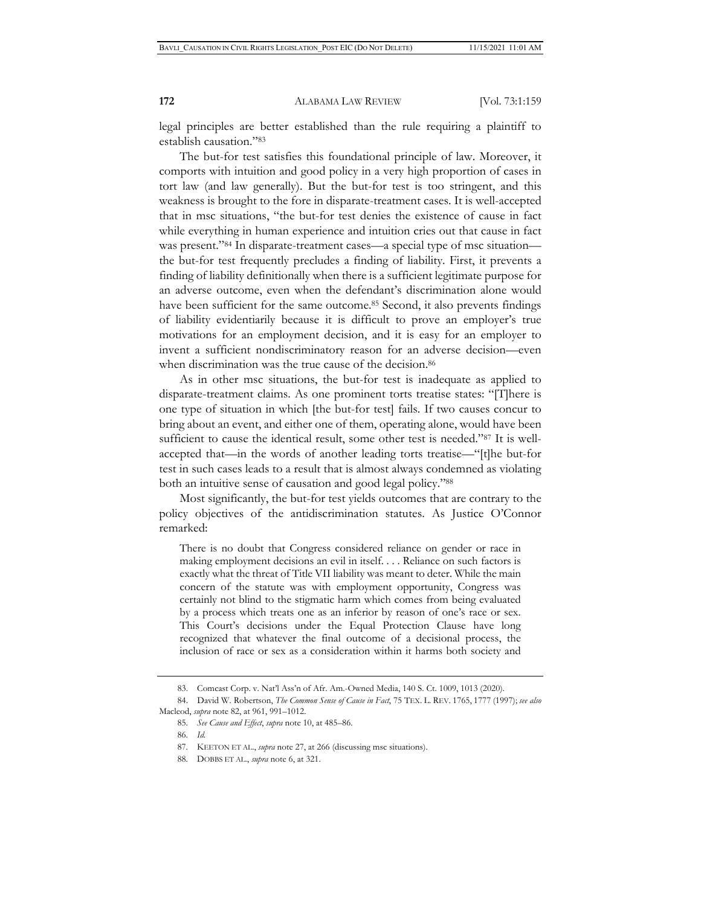legal principles are better established than the rule requiring a plaintiff to establish causation."83

The but-for test satisfies this foundational principle of law. Moreover, it comports with intuition and good policy in a very high proportion of cases in tort law (and law generally). But the but-for test is too stringent, and this weakness is brought to the fore in disparate-treatment cases. It is well-accepted that in msc situations, "the but-for test denies the existence of cause in fact while everything in human experience and intuition cries out that cause in fact was present."84 In disparate-treatment cases—a special type of msc situation the but-for test frequently precludes a finding of liability. First, it prevents a finding of liability definitionally when there is a sufficient legitimate purpose for an adverse outcome, even when the defendant's discrimination alone would have been sufficient for the same outcome.<sup>85</sup> Second, it also prevents findings of liability evidentiarily because it is difficult to prove an employer's true motivations for an employment decision, and it is easy for an employer to invent a sufficient nondiscriminatory reason for an adverse decision—even when discrimination was the true cause of the decision.<sup>86</sup>

As in other msc situations, the but-for test is inadequate as applied to disparate-treatment claims. As one prominent torts treatise states: "[T]here is one type of situation in which [the but-for test] fails. If two causes concur to bring about an event, and either one of them, operating alone, would have been sufficient to cause the identical result, some other test is needed."87 It is wellaccepted that—in the words of another leading torts treatise—"[t]he but-for test in such cases leads to a result that is almost always condemned as violating both an intuitive sense of causation and good legal policy."88

Most significantly, the but-for test yields outcomes that are contrary to the policy objectives of the antidiscrimination statutes. As Justice O'Connor remarked:

There is no doubt that Congress considered reliance on gender or race in making employment decisions an evil in itself. . . . Reliance on such factors is exactly what the threat of Title VII liability was meant to deter. While the main concern of the statute was with employment opportunity, Congress was certainly not blind to the stigmatic harm which comes from being evaluated by a process which treats one as an inferior by reason of one's race or sex. This Court's decisions under the Equal Protection Clause have long recognized that whatever the final outcome of a decisional process, the inclusion of race or sex as a consideration within it harms both society and

<sup>83.</sup> Comcast Corp. v. Nat'l Ass'n of Afr. Am.-Owned Media, 140 S. Ct. 1009, 1013 (2020).

<sup>84.</sup> David W. Robertson, *The Common Sense of Cause in Fact*, 75 TEX. L. REV. 1765, 1777 (1997); *see also*  Macleod, *supra* note 82, at 961, 991–1012.

<sup>85.</sup> *See Cause and Effect*, *supra* note 10, at 485–86.

<sup>86.</sup> *Id.*

<sup>87.</sup> KEETON ET AL., *supra* note 27, at 266 (discussing msc situations).

<sup>88.</sup> DOBBS ET AL., *supra* note 6, at 321.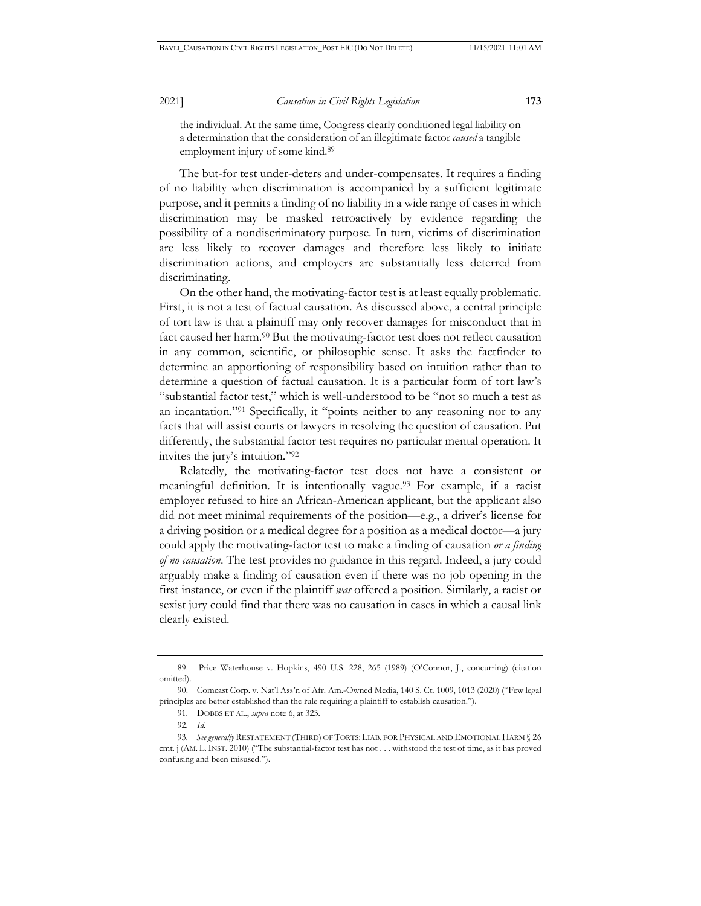the individual. At the same time, Congress clearly conditioned legal liability on a determination that the consideration of an illegitimate factor *caused* a tangible employment injury of some kind.89

The but-for test under-deters and under-compensates. It requires a finding of no liability when discrimination is accompanied by a sufficient legitimate purpose, and it permits a finding of no liability in a wide range of cases in which discrimination may be masked retroactively by evidence regarding the possibility of a nondiscriminatory purpose. In turn, victims of discrimination are less likely to recover damages and therefore less likely to initiate discrimination actions, and employers are substantially less deterred from discriminating.

On the other hand, the motivating-factor test is at least equally problematic. First, it is not a test of factual causation. As discussed above, a central principle of tort law is that a plaintiff may only recover damages for misconduct that in fact caused her harm.<sup>90</sup> But the motivating-factor test does not reflect causation in any common, scientific, or philosophic sense. It asks the factfinder to determine an apportioning of responsibility based on intuition rather than to determine a question of factual causation. It is a particular form of tort law's "substantial factor test," which is well-understood to be "not so much a test as an incantation."91 Specifically, it "points neither to any reasoning nor to any facts that will assist courts or lawyers in resolving the question of causation. Put differently, the substantial factor test requires no particular mental operation. It invites the jury's intuition."92

Relatedly, the motivating-factor test does not have a consistent or meaningful definition. It is intentionally vague.93 For example, if a racist employer refused to hire an African-American applicant, but the applicant also did not meet minimal requirements of the position—e.g., a driver's license for a driving position or a medical degree for a position as a medical doctor—a jury could apply the motivating-factor test to make a finding of causation *or a finding of no causation*. The test provides no guidance in this regard. Indeed, a jury could arguably make a finding of causation even if there was no job opening in the first instance, or even if the plaintiff *was* offered a position. Similarly, a racist or sexist jury could find that there was no causation in cases in which a causal link clearly existed.

<sup>89.</sup> Price Waterhouse v. Hopkins, 490 U.S. 228, 265 (1989) (O'Connor, J., concurring) (citation omitted).

<sup>90.</sup> Comcast Corp. v. Nat'l Ass'n of Afr. Am.-Owned Media, 140 S. Ct. 1009, 1013 (2020) ("Few legal principles are better established than the rule requiring a plaintiff to establish causation.").

<sup>91.</sup> DOBBS ET AL., *supra* note 6, at 323.

<sup>92.</sup> *Id.*

<sup>93.</sup> *See generally* RESTATEMENT (THIRD) OF TORTS: LIAB. FOR PHYSICAL AND EMOTIONAL HARM § 26 cmt. j (AM. L.INST. 2010) ("The substantial-factor test has not . . . withstood the test of time, as it has proved confusing and been misused.").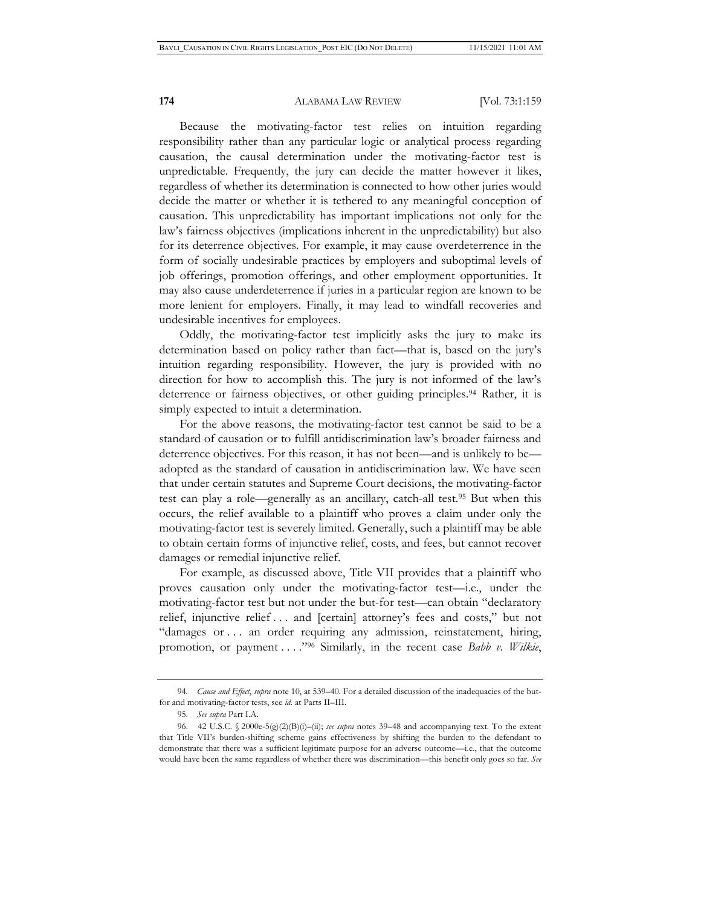Because the motivating-factor test relies on intuition regarding responsibility rather than any particular logic or analytical process regarding causation, the causal determination under the motivating-factor test is unpredictable. Frequently, the jury can decide the matter however it likes, regardless of whether its determination is connected to how other juries would decide the matter or whether it is tethered to any meaningful conception of causation. This unpredictability has important implications not only for the law's fairness objectives (implications inherent in the unpredictability) but also for its deterrence objectives. For example, it may cause overdeterrence in the form of socially undesirable practices by employers and suboptimal levels of job offerings, promotion offerings, and other employment opportunities. It may also cause underdeterrence if juries in a particular region are known to be more lenient for employers. Finally, it may lead to windfall recoveries and undesirable incentives for employees.

Oddly, the motivating-factor test implicitly asks the jury to make its determination based on policy rather than fact—that is, based on the jury's intuition regarding responsibility. However, the jury is provided with no direction for how to accomplish this. The jury is not informed of the law's deterrence or fairness objectives, or other guiding principles.<sup>94</sup> Rather, it is simply expected to intuit a determination.

For the above reasons, the motivating-factor test cannot be said to be a standard of causation or to fulfill antidiscrimination law's broader fairness and deterrence objectives. For this reason, it has not been—and is unlikely to be adopted as the standard of causation in antidiscrimination law. We have seen that under certain statutes and Supreme Court decisions, the motivating-factor test can play a role—generally as an ancillary, catch-all test.95 But when this occurs, the relief available to a plaintiff who proves a claim under only the motivating-factor test is severely limited. Generally, such a plaintiff may be able to obtain certain forms of injunctive relief, costs, and fees, but cannot recover damages or remedial injunctive relief.

For example, as discussed above, Title VII provides that a plaintiff who proves causation only under the motivating-factor test—i.e., under the motivating-factor test but not under the but-for test—can obtain "declaratory relief, injunctive relief . . . and [certain] attorney's fees and costs," but not "damages or ... an order requiring any admission, reinstatement, hiring, promotion, or payment . . . ."96 Similarly, in the recent case *Babb v. Wilkie*,

<sup>94.</sup> *Cause and Effect*, *supra* note 10, at 539–40. For a detailed discussion of the inadequacies of the butfor and motivating-factor tests, see *id.* at Parts II–III.

<sup>95.</sup> *See supra* Part I.A.

<sup>96. 42</sup> U.S.C. § 2000e-5(g)(2)(B)(i)–(ii); *see supra* notes 39–48 and accompanying text. To the extent that Title VII's burden-shifting scheme gains effectiveness by shifting the burden to the defendant to demonstrate that there was a sufficient legitimate purpose for an adverse outcome—i.e., that the outcome would have been the same regardless of whether there was discrimination—this benefit only goes so far. *See*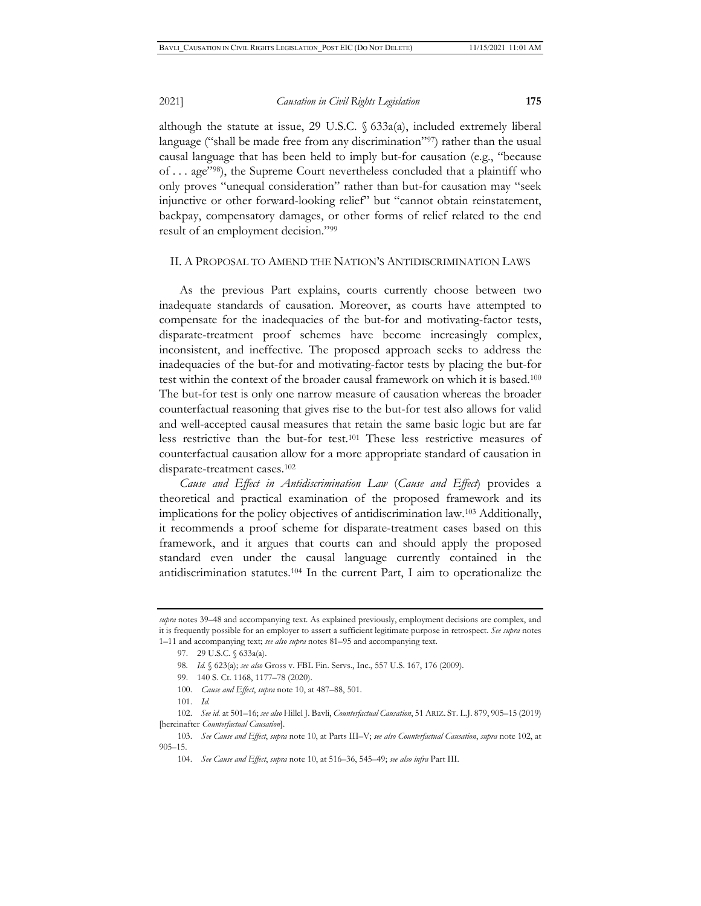although the statute at issue, 29 U.S.C. § 633a(a), included extremely liberal language ("shall be made free from any discrimination"<sup>97</sup>) rather than the usual causal language that has been held to imply but-for causation (e.g., "because of . . . age"98), the Supreme Court nevertheless concluded that a plaintiff who only proves "unequal consideration" rather than but-for causation may "seek injunctive or other forward-looking relief" but "cannot obtain reinstatement, backpay, compensatory damages, or other forms of relief related to the end result of an employment decision."99

#### II. A PROPOSAL TO AMEND THE NATION'S ANTIDISCRIMINATION LAWS

As the previous Part explains, courts currently choose between two inadequate standards of causation. Moreover, as courts have attempted to compensate for the inadequacies of the but-for and motivating-factor tests, disparate-treatment proof schemes have become increasingly complex, inconsistent, and ineffective. The proposed approach seeks to address the inadequacies of the but-for and motivating-factor tests by placing the but-for test within the context of the broader causal framework on which it is based.100 The but-for test is only one narrow measure of causation whereas the broader counterfactual reasoning that gives rise to the but-for test also allows for valid and well-accepted causal measures that retain the same basic logic but are far less restrictive than the but-for test.101 These less restrictive measures of counterfactual causation allow for a more appropriate standard of causation in disparate-treatment cases.102

*Cause and Effect in Antidiscrimination Law* (*Cause and Effect*) provides a theoretical and practical examination of the proposed framework and its implications for the policy objectives of antidiscrimination law.103 Additionally, it recommends a proof scheme for disparate-treatment cases based on this framework, and it argues that courts can and should apply the proposed standard even under the causal language currently contained in the antidiscrimination statutes.104 In the current Part, I aim to operationalize the

- 99. 140 S. Ct. 1168, 1177–78 (2020).
- 100. *Cause and Effect*, *supra* note 10, at 487–88, 501.
- 101. *Id.*

102. *See id.* at 501–16; *see also* Hillel J. Bavli, *Counterfactual Causation*, 51 ARIZ. ST. L.J. 879, 905–15 (2019) [hereinafter *Counterfactual Causation*].

*supra* notes 39–48 and accompanying text. As explained previously, employment decisions are complex, and it is frequently possible for an employer to assert a sufficient legitimate purpose in retrospect. *See supra* notes 1–11 and accompanying text; *see also supra* notes 81–95 and accompanying text.

<sup>97. 29</sup> U.S.C. § 633a(a).

<sup>98.</sup> *Id.* § 623(a); *see also* Gross v. FBL Fin. Servs., Inc., 557 U.S. 167, 176 (2009).

<sup>103.</sup> *See Cause and Effect*, *supra* note 10, at Parts III–V; *see also Counterfactual Causation*, *supra* note 102, at 905–15.

<sup>104.</sup> *See Cause and Effect*, *supra* note 10, at 516–36, 545–49; *see also infra* Part III.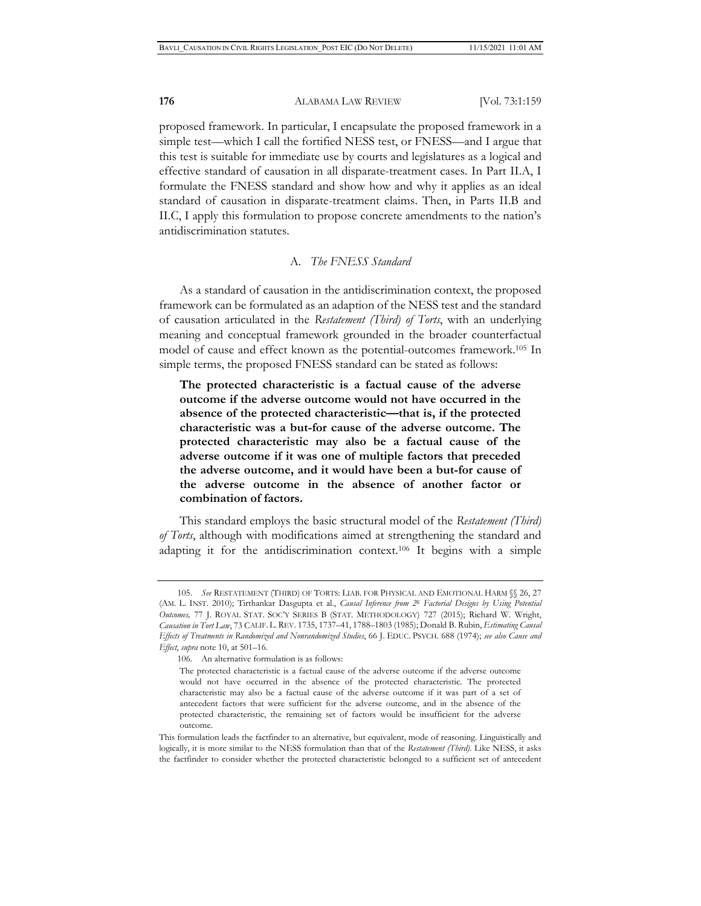proposed framework. In particular, I encapsulate the proposed framework in a simple test—which I call the fortified NESS test, or FNESS—and I argue that this test is suitable for immediate use by courts and legislatures as a logical and effective standard of causation in all disparate-treatment cases. In Part II.A, I formulate the FNESS standard and show how and why it applies as an ideal standard of causation in disparate-treatment claims. Then, in Parts II.B and II.C, I apply this formulation to propose concrete amendments to the nation's antidiscrimination statutes.

## A. *The FNESS Standard*

As a standard of causation in the antidiscrimination context, the proposed framework can be formulated as an adaption of the NESS test and the standard of causation articulated in the *Restatement (Third) of Torts*, with an underlying meaning and conceptual framework grounded in the broader counterfactual model of cause and effect known as the potential-outcomes framework.105 In simple terms, the proposed FNESS standard can be stated as follows:

**The protected characteristic is a factual cause of the adverse outcome if the adverse outcome would not have occurred in the absence of the protected characteristic—that is, if the protected characteristic was a but-for cause of the adverse outcome. The protected characteristic may also be a factual cause of the adverse outcome if it was one of multiple factors that preceded the adverse outcome, and it would have been a but-for cause of the adverse outcome in the absence of another factor or combination of factors.** 

This standard employs the basic structural model of the *Restatement (Third) of Torts*, although with modifications aimed at strengthening the standard and adapting it for the antidiscrimination context.106 It begins with a simple

<sup>105.</sup> *See* RESTATEMENT (THIRD) OF TORTS: LIAB. FOR PHYSICAL AND EMOTIONAL HARM §§ 26, 27 (AM. L. INST. 2010); Tirthankar Dasgupta et al., *Causal Inference from 2K Factorial Designs by Using Potential Outcomes,* 77 J. ROYAL STAT. SOC'Y SERIES B (STAT. METHODOLOGY) 727 (2015); Richard W. Wright, *Causation in Tort Law*, 73 CALIF. L. REV. 1735, 1737–41, 1788–1803 (1985); Donald B. Rubin, *Estimating Causal Effects of Treatments in Randomized and Nonrandomized Studies*, 66 J. EDUC. PSYCH. 688 (1974); *see also Cause and Effect*, *supra* note 10, at 501–16.

<sup>106.</sup> An alternative formulation is as follows:

The protected characteristic is a factual cause of the adverse outcome if the adverse outcome would not have occurred in the absence of the protected characteristic. The protected characteristic may also be a factual cause of the adverse outcome if it was part of a set of antecedent factors that were sufficient for the adverse outcome, and in the absence of the protected characteristic, the remaining set of factors would be insufficient for the adverse outcome.

This formulation leads the factfinder to an alternative, but equivalent, mode of reasoning. Linguistically and logically, it is more similar to the NESS formulation than that of the *Restatement (Third)*. Like NESS, it asks the factfinder to consider whether the protected characteristic belonged to a sufficient set of antecedent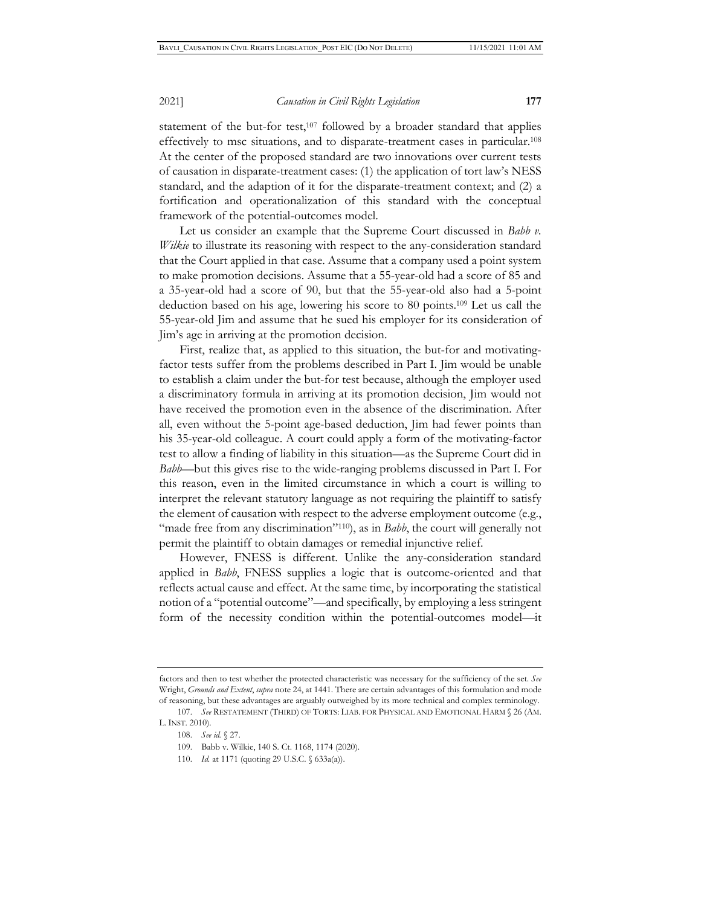statement of the but-for test, $107$  followed by a broader standard that applies effectively to msc situations, and to disparate-treatment cases in particular.108 At the center of the proposed standard are two innovations over current tests of causation in disparate-treatment cases: (1) the application of tort law's NESS standard, and the adaption of it for the disparate-treatment context; and (2) a fortification and operationalization of this standard with the conceptual

framework of the potential-outcomes model. Let us consider an example that the Supreme Court discussed in *Babb v. Wilkie* to illustrate its reasoning with respect to the any-consideration standard that the Court applied in that case. Assume that a company used a point system to make promotion decisions. Assume that a 55-year-old had a score of 85 and a 35-year-old had a score of 90, but that the 55-year-old also had a 5-point deduction based on his age, lowering his score to 80 points.109 Let us call the 55-year-old Jim and assume that he sued his employer for its consideration of Jim's age in arriving at the promotion decision.

First, realize that, as applied to this situation, the but-for and motivatingfactor tests suffer from the problems described in Part I. Jim would be unable to establish a claim under the but-for test because, although the employer used a discriminatory formula in arriving at its promotion decision, Jim would not have received the promotion even in the absence of the discrimination. After all, even without the 5-point age-based deduction, Jim had fewer points than his 35-year-old colleague. A court could apply a form of the motivating-factor test to allow a finding of liability in this situation—as the Supreme Court did in *Babb*—but this gives rise to the wide-ranging problems discussed in Part I. For this reason, even in the limited circumstance in which a court is willing to interpret the relevant statutory language as not requiring the plaintiff to satisfy the element of causation with respect to the adverse employment outcome (e.g., "made free from any discrimination"<sup>110</sup>), as in *Babb*, the court will generally not permit the plaintiff to obtain damages or remedial injunctive relief.

However, FNESS is different. Unlike the any-consideration standard applied in *Babb*, FNESS supplies a logic that is outcome-oriented and that reflects actual cause and effect. At the same time, by incorporating the statistical notion of a "potential outcome"—and specifically, by employing a less stringent form of the necessity condition within the potential-outcomes model—it

factors and then to test whether the protected characteristic was necessary for the sufficiency of the set. *See* Wright, *Grounds and Extent*, *supra* note 24, at 1441. There are certain advantages of this formulation and mode of reasoning, but these advantages are arguably outweighed by its more technical and complex terminology.

<sup>107.</sup> *See* RESTATEMENT (THIRD) OF TORTS: LIAB. FOR PHYSICAL AND EMOTIONAL HARM § 26 (AM. L. INST. 2010).

<sup>108.</sup> *See id.* § 27.

<sup>109.</sup> Babb v. Wilkie, 140 S. Ct. 1168, 1174 (2020).

<sup>110.</sup> *Id.* at 1171 (quoting 29 U.S.C. § 633a(a)).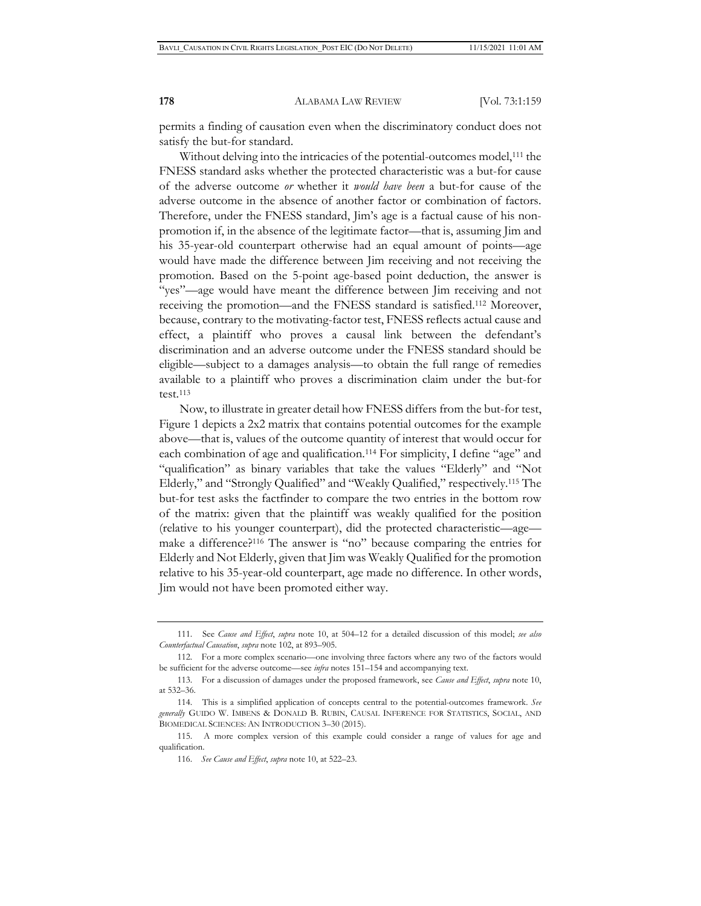permits a finding of causation even when the discriminatory conduct does not satisfy the but-for standard.

Without delving into the intricacies of the potential-outcomes model,<sup>111</sup> the FNESS standard asks whether the protected characteristic was a but-for cause of the adverse outcome *or* whether it *would have been* a but-for cause of the adverse outcome in the absence of another factor or combination of factors. Therefore, under the FNESS standard, Jim's age is a factual cause of his nonpromotion if, in the absence of the legitimate factor—that is, assuming Jim and his 35-year-old counterpart otherwise had an equal amount of points—age would have made the difference between Jim receiving and not receiving the promotion. Based on the 5-point age-based point deduction, the answer is "yes"—age would have meant the difference between Jim receiving and not receiving the promotion—and the FNESS standard is satisfied.112 Moreover, because, contrary to the motivating-factor test, FNESS reflects actual cause and effect, a plaintiff who proves a causal link between the defendant's discrimination and an adverse outcome under the FNESS standard should be eligible—subject to a damages analysis—to obtain the full range of remedies available to a plaintiff who proves a discrimination claim under the but-for test.113

Now, to illustrate in greater detail how FNESS differs from the but-for test, Figure 1 depicts a 2x2 matrix that contains potential outcomes for the example above—that is, values of the outcome quantity of interest that would occur for each combination of age and qualification.<sup>114</sup> For simplicity, I define "age" and "qualification" as binary variables that take the values "Elderly" and "Not Elderly," and "Strongly Qualified" and "Weakly Qualified," respectively.115 The but-for test asks the factfinder to compare the two entries in the bottom row of the matrix: given that the plaintiff was weakly qualified for the position (relative to his younger counterpart), did the protected characteristic—age make a difference?116 The answer is "no" because comparing the entries for Elderly and Not Elderly, given that Jim was Weakly Qualified for the promotion relative to his 35-year-old counterpart, age made no difference. In other words, Jim would not have been promoted either way.

<sup>111.</sup> See *Cause and Effect*, *supra* note 10, at 504–12 for a detailed discussion of this model; *see also Counterfactual Causation*, *supra* note 102, at 893–905.

<sup>112.</sup> For a more complex scenario—one involving three factors where any two of the factors would be sufficient for the adverse outcome—see *infra* notes 151–154 and accompanying text.

113. For a discussion of damages under the proposed framework, see *Cause and Effect*, *supra* note 10, at 532–36.

<sup>114.</sup> This is a simplified application of concepts central to the potential-outcomes framework. *See generally* GUIDO W. IMBENS & DONALD B. RUBIN, CAUSAL INFERENCE FOR STATISTICS, SOCIAL, AND BIOMEDICAL SCIENCES: AN INTRODUCTION 3–30 (2015).

<sup>115.</sup> A more complex version of this example could consider a range of values for age and qualification.

<sup>116.</sup> *See Cause and Effect*, *supra* note 10, at 522–23.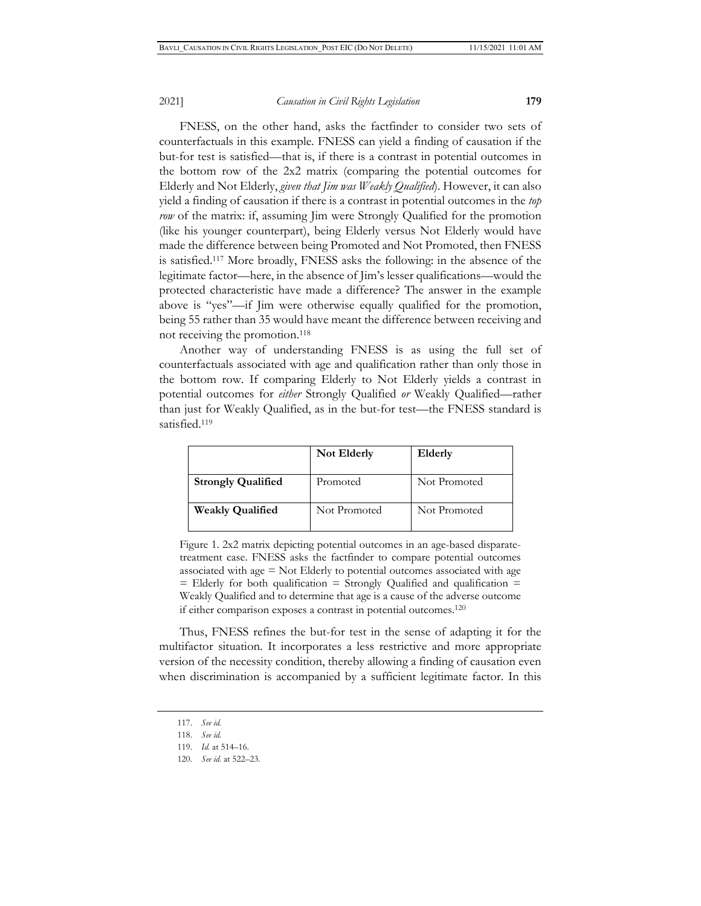FNESS, on the other hand, asks the factfinder to consider two sets of counterfactuals in this example. FNESS can yield a finding of causation if the but-for test is satisfied—that is, if there is a contrast in potential outcomes in the bottom row of the 2x2 matrix (comparing the potential outcomes for Elderly and Not Elderly, *given that Jim was Weakly Qualified*). However, it can also yield a finding of causation if there is a contrast in potential outcomes in the *top row* of the matrix: if, assuming Jim were Strongly Qualified for the promotion (like his younger counterpart), being Elderly versus Not Elderly would have made the difference between being Promoted and Not Promoted, then FNESS is satisfied.117 More broadly, FNESS asks the following: in the absence of the legitimate factor—here, in the absence of Jim's lesser qualifications—would the protected characteristic have made a difference? The answer in the example above is "yes"—if Jim were otherwise equally qualified for the promotion, being 55 rather than 35 would have meant the difference between receiving and not receiving the promotion.118

Another way of understanding FNESS is as using the full set of counterfactuals associated with age and qualification rather than only those in the bottom row. If comparing Elderly to Not Elderly yields a contrast in potential outcomes for *either* Strongly Qualified *or* Weakly Qualified—rather than just for Weakly Qualified, as in the but-for test—the FNESS standard is satisfied.<sup>119</sup>

|                           | Not Elderly  | Elderly      |
|---------------------------|--------------|--------------|
| <b>Strongly Qualified</b> | Promoted     | Not Promoted |
| <b>Weakly Qualified</b>   | Not Promoted | Not Promoted |

Figure 1. 2x2 matrix depicting potential outcomes in an age-based disparatetreatment case. FNESS asks the factfinder to compare potential outcomes associated with age = Not Elderly to potential outcomes associated with age  $=$  Elderly for both qualification  $=$  Strongly Qualified and qualification  $=$ Weakly Qualified and to determine that age is a cause of the adverse outcome if either comparison exposes a contrast in potential outcomes.120

Thus, FNESS refines the but-for test in the sense of adapting it for the multifactor situation. It incorporates a less restrictive and more appropriate version of the necessity condition, thereby allowing a finding of causation even when discrimination is accompanied by a sufficient legitimate factor. In this

<sup>117.</sup> *See id.*

<sup>118.</sup> *See id.*

<sup>119.</sup> *Id.* at 514–16.

<sup>120.</sup> *See id.* at 522–23.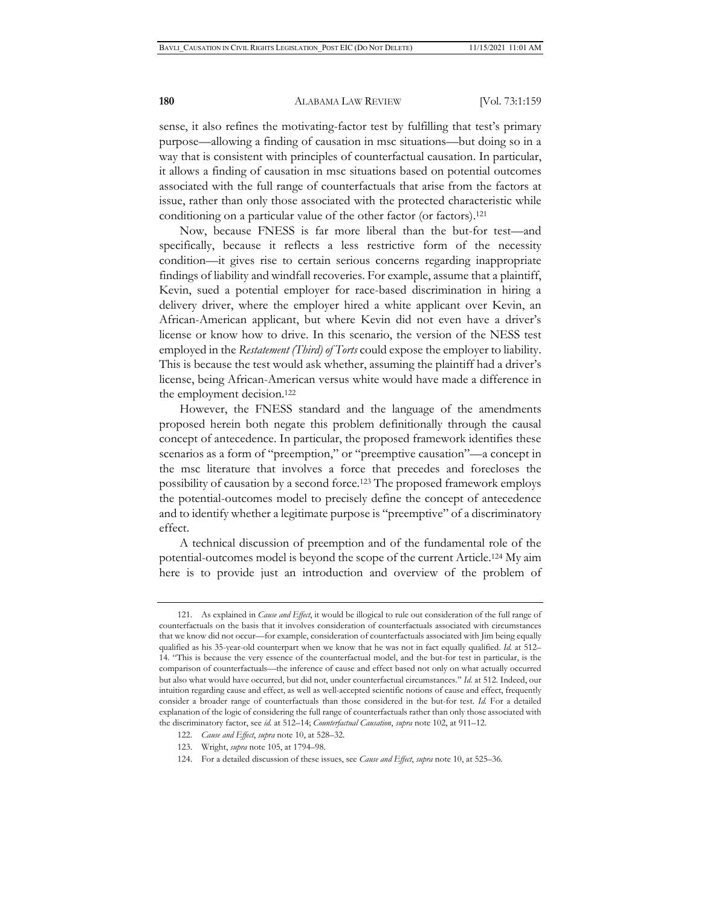sense, it also refines the motivating-factor test by fulfilling that test's primary purpose—allowing a finding of causation in msc situations—but doing so in a way that is consistent with principles of counterfactual causation. In particular, it allows a finding of causation in msc situations based on potential outcomes associated with the full range of counterfactuals that arise from the factors at issue, rather than only those associated with the protected characteristic while conditioning on a particular value of the other factor (or factors).121

Now, because FNESS is far more liberal than the but-for test—and specifically, because it reflects a less restrictive form of the necessity condition—it gives rise to certain serious concerns regarding inappropriate findings of liability and windfall recoveries. For example, assume that a plaintiff, Kevin, sued a potential employer for race-based discrimination in hiring a delivery driver, where the employer hired a white applicant over Kevin, an African-American applicant, but where Kevin did not even have a driver's license or know how to drive. In this scenario, the version of the NESS test employed in the *Restatement (Third) of Torts* could expose the employer to liability. This is because the test would ask whether, assuming the plaintiff had a driver's license, being African-American versus white would have made a difference in the employment decision.122

However, the FNESS standard and the language of the amendments proposed herein both negate this problem definitionally through the causal concept of antecedence. In particular, the proposed framework identifies these scenarios as a form of "preemption," or "preemptive causation"—a concept in the msc literature that involves a force that precedes and forecloses the possibility of causation by a second force.123 The proposed framework employs the potential-outcomes model to precisely define the concept of antecedence and to identify whether a legitimate purpose is "preemptive" of a discriminatory effect.

A technical discussion of preemption and of the fundamental role of the potential-outcomes model is beyond the scope of the current Article.124 My aim here is to provide just an introduction and overview of the problem of

<sup>121.</sup> As explained in *Cause and Effect*, it would be illogical to rule out consideration of the full range of counterfactuals on the basis that it involves consideration of counterfactuals associated with circumstances that we know did not occur—for example, consideration of counterfactuals associated with Jim being equally qualified as his 35-year-old counterpart when we know that he was not in fact equally qualified. *Id.* at 512– 14. "This is because the very essence of the counterfactual model, and the but-for test in particular, is the comparison of counterfactuals—the inference of cause and effect based not only on what actually occurred but also what would have occurred, but did not, under counterfactual circumstances." *Id.* at 512. Indeed, our intuition regarding cause and effect, as well as well-accepted scientific notions of cause and effect, frequently consider a broader range of counterfactuals than those considered in the but-for test. *Id.* For a detailed explanation of the logic of considering the full range of counterfactuals rather than only those associated with the discriminatory factor, see *id.* at 512–14; *Counterfactual Causation*, *supra* note 102, at 911–12.

<sup>122.</sup> *Cause and Effect*, *supra* note 10, at 528–32.

<sup>123.</sup> Wright, *supra* note 105, at 1794–98.

<sup>124.</sup> For a detailed discussion of these issues, see *Cause and Effect*, *supra* note 10, at 525–36.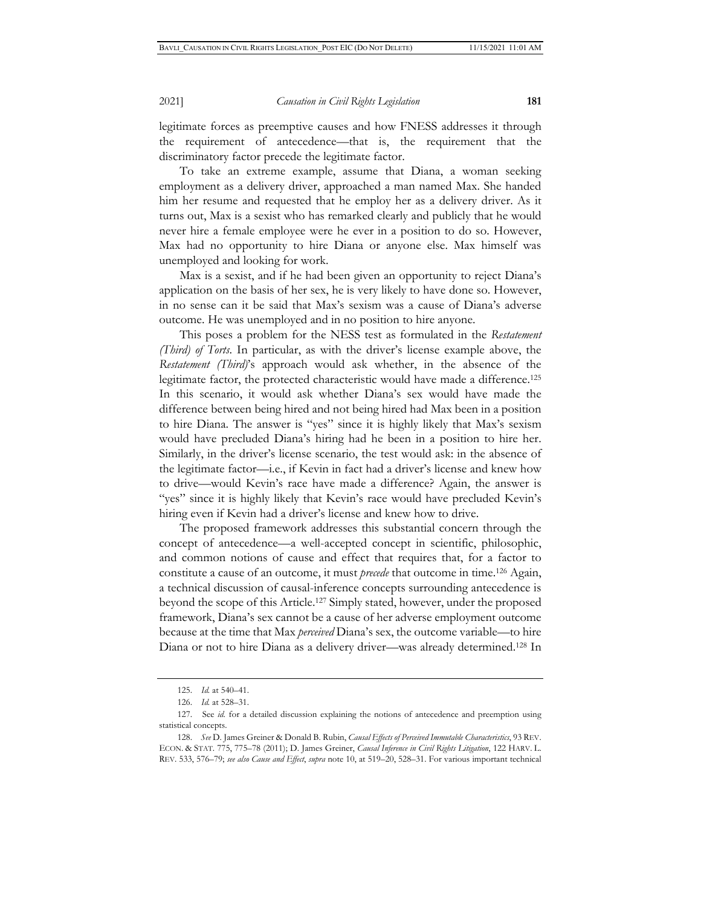legitimate forces as preemptive causes and how FNESS addresses it through the requirement of antecedence—that is, the requirement that the discriminatory factor precede the legitimate factor.

To take an extreme example, assume that Diana, a woman seeking employment as a delivery driver, approached a man named Max. She handed him her resume and requested that he employ her as a delivery driver. As it turns out, Max is a sexist who has remarked clearly and publicly that he would never hire a female employee were he ever in a position to do so. However, Max had no opportunity to hire Diana or anyone else. Max himself was unemployed and looking for work.

Max is a sexist, and if he had been given an opportunity to reject Diana's application on the basis of her sex, he is very likely to have done so. However, in no sense can it be said that Max's sexism was a cause of Diana's adverse outcome. He was unemployed and in no position to hire anyone.

This poses a problem for the NESS test as formulated in the *Restatement (Third) of Torts*. In particular, as with the driver's license example above, the *Restatement (Third)*'s approach would ask whether, in the absence of the legitimate factor, the protected characteristic would have made a difference.125 In this scenario, it would ask whether Diana's sex would have made the difference between being hired and not being hired had Max been in a position to hire Diana. The answer is "yes" since it is highly likely that Max's sexism would have precluded Diana's hiring had he been in a position to hire her. Similarly, in the driver's license scenario, the test would ask: in the absence of the legitimate factor—i.e., if Kevin in fact had a driver's license and knew how to drive—would Kevin's race have made a difference? Again, the answer is "yes" since it is highly likely that Kevin's race would have precluded Kevin's hiring even if Kevin had a driver's license and knew how to drive.

The proposed framework addresses this substantial concern through the concept of antecedence—a well-accepted concept in scientific, philosophic, and common notions of cause and effect that requires that, for a factor to constitute a cause of an outcome, it must *precede* that outcome in time.126 Again, a technical discussion of causal-inference concepts surrounding antecedence is beyond the scope of this Article.127 Simply stated, however, under the proposed framework, Diana's sex cannot be a cause of her adverse employment outcome because at the time that Max *perceived* Diana's sex, the outcome variable—to hire Diana or not to hire Diana as a delivery driver—was already determined.128 In

<sup>125.</sup> *Id.* at 540–41.

<sup>126.</sup> *Id.* at 528–31.

<sup>127.</sup> See *id.* for a detailed discussion explaining the notions of antecedence and preemption using statistical concepts.

<sup>128.</sup> *See* D. James Greiner & Donald B. Rubin, *Causal Effects of Perceived Immutable Characteristics*, 93 REV. ECON. & STAT. 775, 775–78 (2011); D. James Greiner, *Causal Inference in Civil Rights Litigation*, 122 HARV. L. REV. 533, 576–79; *see also Cause and Effect*, *supra* note 10, at 519–20, 528–31. For various important technical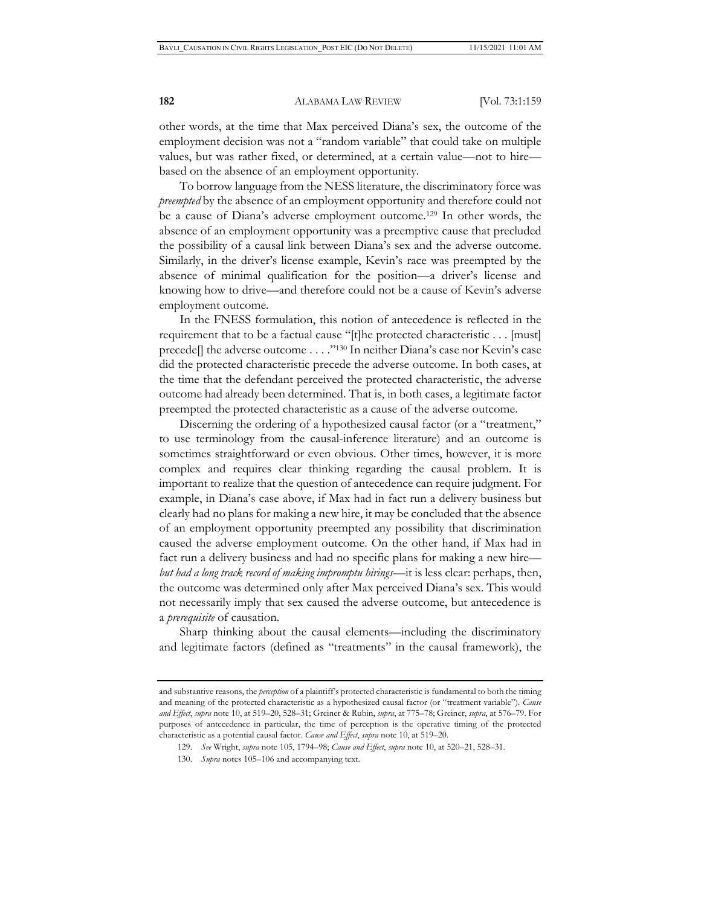other words, at the time that Max perceived Diana's sex, the outcome of the employment decision was not a "random variable" that could take on multiple values, but was rather fixed, or determined, at a certain value—not to hire based on the absence of an employment opportunity.

To borrow language from the NESS literature, the discriminatory force was *preempted* by the absence of an employment opportunity and therefore could not be a cause of Diana's adverse employment outcome.129 In other words, the absence of an employment opportunity was a preemptive cause that precluded the possibility of a causal link between Diana's sex and the adverse outcome. Similarly, in the driver's license example, Kevin's race was preempted by the absence of minimal qualification for the position—a driver's license and knowing how to drive—and therefore could not be a cause of Kevin's adverse employment outcome.

In the FNESS formulation, this notion of antecedence is reflected in the requirement that to be a factual cause "[t]he protected characteristic . . . [must] precede[] the adverse outcome . . . ."130 In neither Diana's case nor Kevin's case did the protected characteristic precede the adverse outcome. In both cases, at the time that the defendant perceived the protected characteristic, the adverse outcome had already been determined. That is, in both cases, a legitimate factor preempted the protected characteristic as a cause of the adverse outcome.

Discerning the ordering of a hypothesized causal factor (or a "treatment," to use terminology from the causal-inference literature) and an outcome is sometimes straightforward or even obvious. Other times, however, it is more complex and requires clear thinking regarding the causal problem. It is important to realize that the question of antecedence can require judgment. For example, in Diana's case above, if Max had in fact run a delivery business but clearly had no plans for making a new hire, it may be concluded that the absence of an employment opportunity preempted any possibility that discrimination caused the adverse employment outcome. On the other hand, if Max had in fact run a delivery business and had no specific plans for making a new hire *but had a long track record of making impromptu hirings*—it is less clear: perhaps, then, the outcome was determined only after Max perceived Diana's sex. This would not necessarily imply that sex caused the adverse outcome, but antecedence is a *prerequisite* of causation.

Sharp thinking about the causal elements—including the discriminatory and legitimate factors (defined as "treatments" in the causal framework), the

and substantive reasons, the *perception* of a plaintiff's protected characteristic is fundamental to both the timing and meaning of the protected characteristic as a hypothesized causal factor (or "treatment variable"). *Cause and Effect*, *supra* note 10, at 519–20, 528–31; Greiner & Rubin, *supra*, at 775–78; Greiner, *supra*, at 576–79. For purposes of antecedence in particular, the time of perception is the operative timing of the protected characteristic as a potential causal factor. *Cause and Effect*, *supra* note 10, at 519–20.

<sup>129.</sup> *See* Wright, *supra* note 105, 1794–98; *Cause and Effect*, *supra* note 10, at 520–21, 528–31.

<sup>130.</sup> *Supra* notes 105–106 and accompanying text.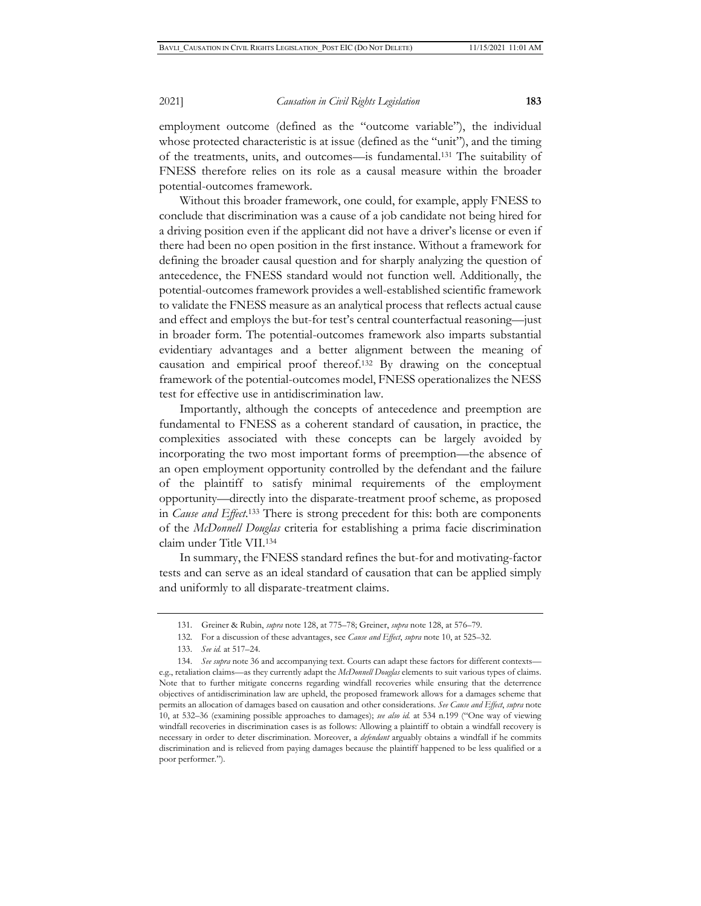employment outcome (defined as the "outcome variable"), the individual whose protected characteristic is at issue (defined as the "unit"), and the timing of the treatments, units, and outcomes—is fundamental.131 The suitability of FNESS therefore relies on its role as a causal measure within the broader potential-outcomes framework.

Without this broader framework, one could, for example, apply FNESS to conclude that discrimination was a cause of a job candidate not being hired for a driving position even if the applicant did not have a driver's license or even if there had been no open position in the first instance. Without a framework for defining the broader causal question and for sharply analyzing the question of antecedence, the FNESS standard would not function well. Additionally, the potential-outcomes framework provides a well-established scientific framework to validate the FNESS measure as an analytical process that reflects actual cause and effect and employs the but-for test's central counterfactual reasoning—just in broader form. The potential-outcomes framework also imparts substantial evidentiary advantages and a better alignment between the meaning of causation and empirical proof thereof.132 By drawing on the conceptual framework of the potential-outcomes model, FNESS operationalizes the NESS test for effective use in antidiscrimination law.

Importantly, although the concepts of antecedence and preemption are fundamental to FNESS as a coherent standard of causation, in practice, the complexities associated with these concepts can be largely avoided by incorporating the two most important forms of preemption—the absence of an open employment opportunity controlled by the defendant and the failure of the plaintiff to satisfy minimal requirements of the employment opportunity—directly into the disparate-treatment proof scheme, as proposed in *Cause and Effect*. 133 There is strong precedent for this: both are components of the *McDonnell Douglas* criteria for establishing a prima facie discrimination claim under Title VII.134

In summary, the FNESS standard refines the but-for and motivating-factor tests and can serve as an ideal standard of causation that can be applied simply and uniformly to all disparate-treatment claims.

<sup>131.</sup> Greiner & Rubin, *supra* note 128, at 775–78; Greiner, *supra* note 128, at 576–79.

<sup>132.</sup> For a discussion of these advantages, see *Cause and Effect*, *supra* note 10, at 525–32.

<sup>133.</sup> *See id.* at 517–24.

<sup>134.</sup> *See supra* note 36 and accompanying text. Courts can adapt these factors for different contexts e.g., retaliation claims—as they currently adapt the *McDonnell Douglas* elements to suit various types of claims. Note that to further mitigate concerns regarding windfall recoveries while ensuring that the deterrence objectives of antidiscrimination law are upheld, the proposed framework allows for a damages scheme that permits an allocation of damages based on causation and other considerations. *See Cause and Effect*, *supra* note 10, at 532–36 (examining possible approaches to damages); *see also id.* at 534 n.199 ("One way of viewing windfall recoveries in discrimination cases is as follows: Allowing a plaintiff to obtain a windfall recovery is necessary in order to deter discrimination. Moreover, a *defendant* arguably obtains a windfall if he commits discrimination and is relieved from paying damages because the plaintiff happened to be less qualified or a poor performer.").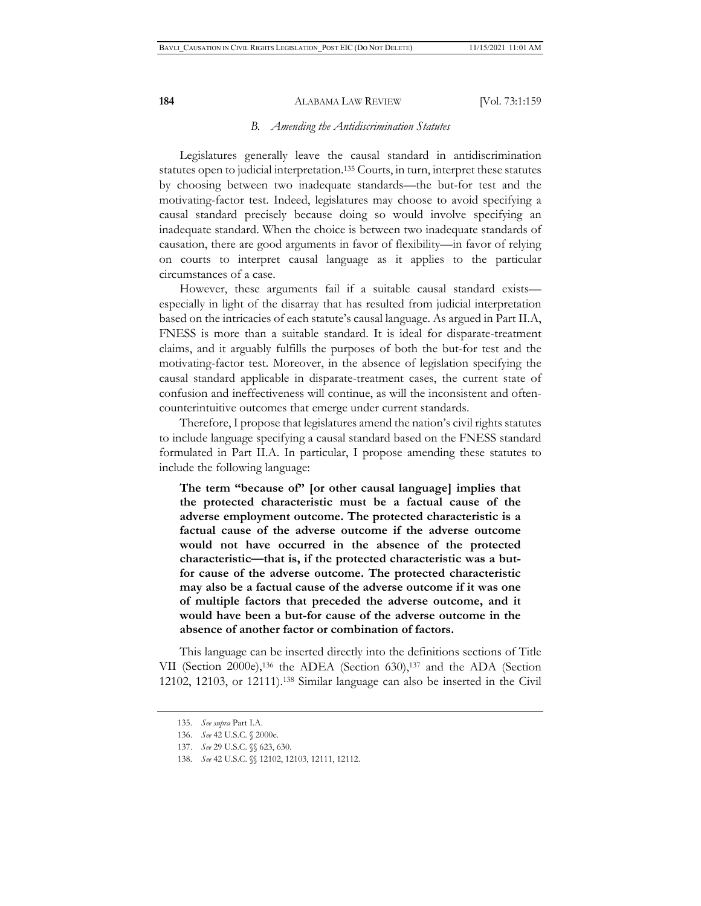#### *B. Amending the Antidiscrimination Statutes*

Legislatures generally leave the causal standard in antidiscrimination statutes open to judicial interpretation.135 Courts, in turn, interpret these statutes by choosing between two inadequate standards—the but-for test and the motivating-factor test. Indeed, legislatures may choose to avoid specifying a causal standard precisely because doing so would involve specifying an inadequate standard. When the choice is between two inadequate standards of causation, there are good arguments in favor of flexibility—in favor of relying on courts to interpret causal language as it applies to the particular circumstances of a case.

However, these arguments fail if a suitable causal standard exists especially in light of the disarray that has resulted from judicial interpretation based on the intricacies of each statute's causal language. As argued in Part II.A, FNESS is more than a suitable standard. It is ideal for disparate-treatment claims, and it arguably fulfills the purposes of both the but-for test and the motivating-factor test. Moreover, in the absence of legislation specifying the causal standard applicable in disparate-treatment cases, the current state of confusion and ineffectiveness will continue, as will the inconsistent and oftencounterintuitive outcomes that emerge under current standards.

Therefore, I propose that legislatures amend the nation's civil rights statutes to include language specifying a causal standard based on the FNESS standard formulated in Part II.A. In particular, I propose amending these statutes to include the following language:

**The term "because of" [or other causal language] implies that the protected characteristic must be a factual cause of the adverse employment outcome. The protected characteristic is a factual cause of the adverse outcome if the adverse outcome would not have occurred in the absence of the protected characteristic—that is, if the protected characteristic was a butfor cause of the adverse outcome. The protected characteristic may also be a factual cause of the adverse outcome if it was one of multiple factors that preceded the adverse outcome, and it would have been a but-for cause of the adverse outcome in the absence of another factor or combination of factors.** 

This language can be inserted directly into the definitions sections of Title VII (Section 2000e),136 the ADEA (Section 630),137 and the ADA (Section 12102, 12103, or 12111).138 Similar language can also be inserted in the Civil

<sup>135.</sup> *See supra* Part I.A.

<sup>136.</sup> *See* 42 U.S.C. § 2000e.

<sup>137.</sup> *See* 29 U.S.C. §§ 623, 630.

<sup>138.</sup> *See* 42 U.S.C. §§ 12102, 12103, 12111, 12112.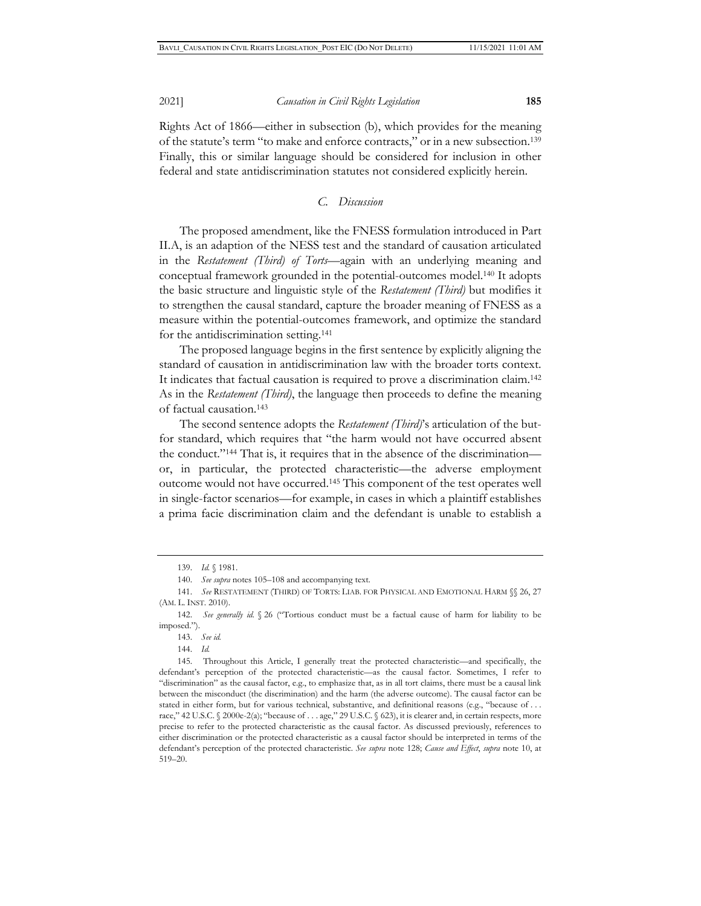Rights Act of 1866—either in subsection (b), which provides for the meaning of the statute's term "to make and enforce contracts," or in a new subsection.139 Finally, this or similar language should be considered for inclusion in other federal and state antidiscrimination statutes not considered explicitly herein.

## *C. Discussion*

The proposed amendment, like the FNESS formulation introduced in Part II.A, is an adaption of the NESS test and the standard of causation articulated in the *Restatement (Third) of Torts*—again with an underlying meaning and conceptual framework grounded in the potential-outcomes model.140 It adopts the basic structure and linguistic style of the *Restatement (Third)* but modifies it to strengthen the causal standard, capture the broader meaning of FNESS as a measure within the potential-outcomes framework, and optimize the standard for the antidiscrimination setting.141

The proposed language begins in the first sentence by explicitly aligning the standard of causation in antidiscrimination law with the broader torts context. It indicates that factual causation is required to prove a discrimination claim.142 As in the *Restatement (Third)*, the language then proceeds to define the meaning of factual causation.143

The second sentence adopts the *Restatement (Third)*'s articulation of the butfor standard, which requires that "the harm would not have occurred absent the conduct."144 That is, it requires that in the absence of the discrimination or, in particular, the protected characteristic—the adverse employment outcome would not have occurred.145 This component of the test operates well in single-factor scenarios—for example, in cases in which a plaintiff establishes a prima facie discrimination claim and the defendant is unable to establish a

<sup>139.</sup> *Id.* § 1981.

<sup>140.</sup> *See supra* notes 105–108 and accompanying text.

<sup>141.</sup> *See* RESTATEMENT (THIRD) OF TORTS: LIAB. FOR PHYSICAL AND EMOTIONAL HARM §§ 26, 27 (AM. L. INST. 2010).

<sup>142.</sup> *See generally id.* § 26 ("Tortious conduct must be a factual cause of harm for liability to be imposed.").

<sup>143.</sup> *See id.*

<sup>144.</sup> *Id.*

<sup>145.</sup> Throughout this Article, I generally treat the protected characteristic—and specifically, the defendant's perception of the protected characteristic—as the causal factor. Sometimes, I refer to "discrimination" as the causal factor, e.g., to emphasize that, as in all tort claims, there must be a causal link between the misconduct (the discrimination) and the harm (the adverse outcome). The causal factor can be stated in either form, but for various technical, substantive, and definitional reasons (e.g., "because of . . . race," 42 U.S.C. § 2000e-2(a); "because of . . . age," 29 U.S.C. § 623), it is clearer and, in certain respects, more precise to refer to the protected characteristic as the causal factor. As discussed previously, references to either discrimination or the protected characteristic as a causal factor should be interpreted in terms of the defendant's perception of the protected characteristic. *See supra* note 128; *Cause and Effect*, *supra* note 10, at 519–20.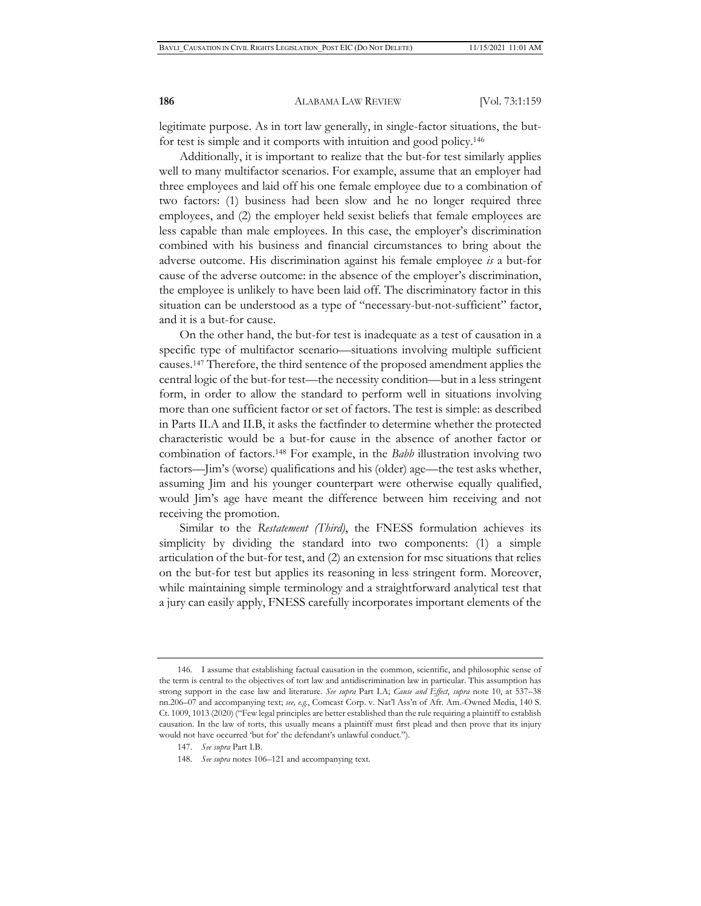legitimate purpose. As in tort law generally, in single-factor situations, the butfor test is simple and it comports with intuition and good policy.146

Additionally, it is important to realize that the but-for test similarly applies well to many multifactor scenarios. For example, assume that an employer had three employees and laid off his one female employee due to a combination of two factors: (1) business had been slow and he no longer required three employees, and (2) the employer held sexist beliefs that female employees are less capable than male employees. In this case, the employer's discrimination combined with his business and financial circumstances to bring about the adverse outcome. His discrimination against his female employee *is* a but-for cause of the adverse outcome: in the absence of the employer's discrimination, the employee is unlikely to have been laid off. The discriminatory factor in this situation can be understood as a type of "necessary-but-not-sufficient" factor, and it is a but-for cause.

On the other hand, the but-for test is inadequate as a test of causation in a specific type of multifactor scenario—situations involving multiple sufficient causes.147 Therefore, the third sentence of the proposed amendment applies the central logic of the but-for test—the necessity condition—but in a less stringent form, in order to allow the standard to perform well in situations involving more than one sufficient factor or set of factors. The test is simple: as described in Parts II.A and II.B, it asks the factfinder to determine whether the protected characteristic would be a but-for cause in the absence of another factor or combination of factors.148 For example, in the *Babb* illustration involving two factors—Jim's (worse) qualifications and his (older) age—the test asks whether, assuming Jim and his younger counterpart were otherwise equally qualified, would Jim's age have meant the difference between him receiving and not receiving the promotion.

Similar to the *Restatement (Third)*, the FNESS formulation achieves its simplicity by dividing the standard into two components: (1) a simple articulation of the but-for test, and (2) an extension for msc situations that relies on the but-for test but applies its reasoning in less stringent form. Moreover, while maintaining simple terminology and a straightforward analytical test that a jury can easily apply, FNESS carefully incorporates important elements of the

<sup>146.</sup> I assume that establishing factual causation in the common, scientific, and philosophic sense of the term is central to the objectives of tort law and antidiscrimination law in particular. This assumption has strong support in the case law and literature. *See supra* Part I.A; *Cause and Effect*, *supra* note 10, at 537–38 nn.206–07 and accompanying text; *see, e.g.*, Comcast Corp. v. Nat'l Ass'n of Afr. Am.-Owned Media, 140 S. Ct. 1009, 1013 (2020) ("Few legal principles are better established than the rule requiring a plaintiff to establish causation. In the law of torts, this usually means a plaintiff must first plead and then prove that its injury would not have occurred 'but for' the defendant's unlawful conduct.").

<sup>147.</sup> *See supra* Part I.B.

<sup>148.</sup> *See supra* notes 106–121 and accompanying text.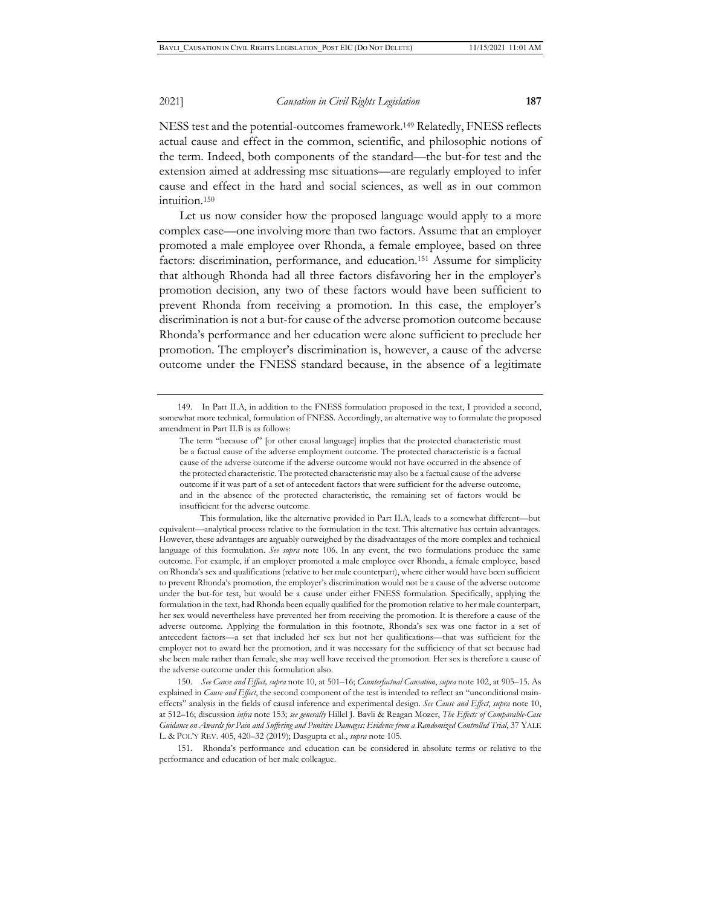NESS test and the potential-outcomes framework.149 Relatedly, FNESS reflects actual cause and effect in the common, scientific, and philosophic notions of the term. Indeed, both components of the standard—the but-for test and the extension aimed at addressing msc situations—are regularly employed to infer cause and effect in the hard and social sciences, as well as in our common intuition.150

Let us now consider how the proposed language would apply to a more complex case—one involving more than two factors. Assume that an employer promoted a male employee over Rhonda, a female employee, based on three factors: discrimination, performance, and education.<sup>151</sup> Assume for simplicity that although Rhonda had all three factors disfavoring her in the employer's promotion decision, any two of these factors would have been sufficient to prevent Rhonda from receiving a promotion. In this case, the employer's discrimination is not a but-for cause of the adverse promotion outcome because Rhonda's performance and her education were alone sufficient to preclude her promotion. The employer's discrimination is, however, a cause of the adverse outcome under the FNESS standard because, in the absence of a legitimate

 This formulation, like the alternative provided in Part II.A, leads to a somewhat different—but equivalent—analytical process relative to the formulation in the text. This alternative has certain advantages. However, these advantages are arguably outweighed by the disadvantages of the more complex and technical language of this formulation. *See supra* note 106. In any event, the two formulations produce the same outcome. For example, if an employer promoted a male employee over Rhonda, a female employee, based on Rhonda's sex and qualifications (relative to her male counterpart), where either would have been sufficient to prevent Rhonda's promotion, the employer's discrimination would not be a cause of the adverse outcome under the but-for test, but would be a cause under either FNESS formulation. Specifically, applying the formulation in the text, had Rhonda been equally qualified for the promotion relative to her male counterpart, her sex would nevertheless have prevented her from receiving the promotion. It is therefore a cause of the adverse outcome. Applying the formulation in this footnote, Rhonda's sex was one factor in a set of antecedent factors—a set that included her sex but not her qualifications—that was sufficient for the employer not to award her the promotion, and it was necessary for the sufficiency of that set because had she been male rather than female, she may well have received the promotion. Her sex is therefore a cause of the adverse outcome under this formulation also.

150. *See Cause and Effect, supra* note 10, at 501–16; *Counterfactual Causation*, *supra* note 102, at 905–15. As explained in *Cause and Effect*, the second component of the test is intended to reflect an "unconditional maineffects" analysis in the fields of causal inference and experimental design. *See Cause and Effect*, *supra* note 10, at 512–16; discussion *infra* note 153; *see generally* Hillel J. Bavli & Reagan Mozer, *The Effects of Comparable-Case Guidance on Awards for Pain and Suffering and Punitive Damages: Evidence from a Randomized Controlled Trial*, 37 YALE L. & POL'Y REV. 405, 420–32 (2019); Dasgupta et al., *supra* note 105.

151. Rhonda's performance and education can be considered in absolute terms or relative to the performance and education of her male colleague.

<sup>149.</sup> In Part II.A, in addition to the FNESS formulation proposed in the text, I provided a second, somewhat more technical, formulation of FNESS. Accordingly, an alternative way to formulate the proposed amendment in Part II.B is as follows:

The term "because of" [or other causal language] implies that the protected characteristic must be a factual cause of the adverse employment outcome. The protected characteristic is a factual cause of the adverse outcome if the adverse outcome would not have occurred in the absence of the protected characteristic. The protected characteristic may also be a factual cause of the adverse outcome if it was part of a set of antecedent factors that were sufficient for the adverse outcome, and in the absence of the protected characteristic, the remaining set of factors would be insufficient for the adverse outcome.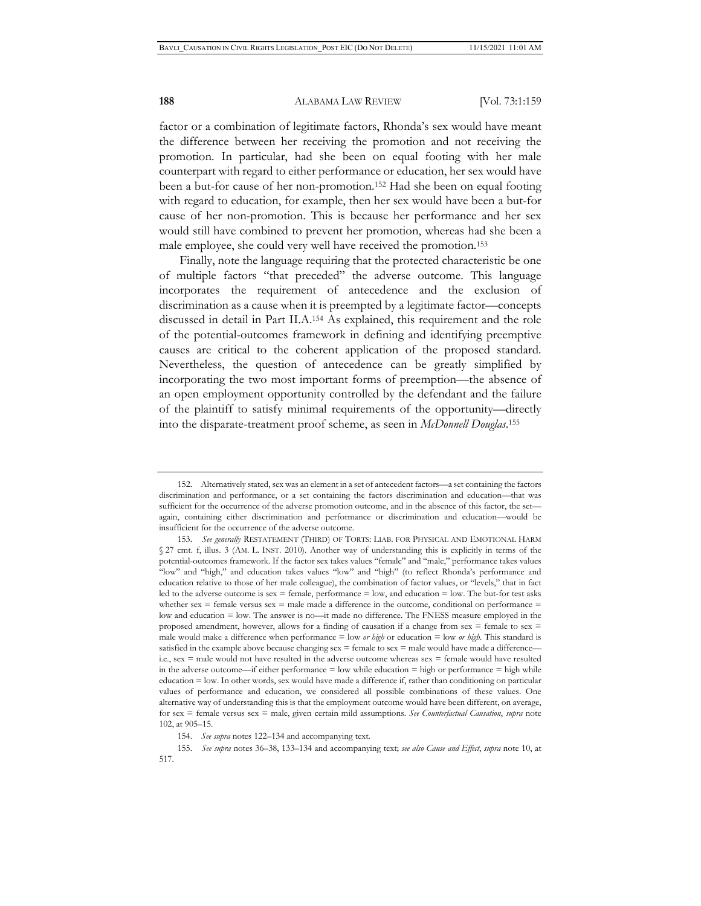factor or a combination of legitimate factors, Rhonda's sex would have meant the difference between her receiving the promotion and not receiving the promotion. In particular, had she been on equal footing with her male counterpart with regard to either performance or education, her sex would have been a but-for cause of her non-promotion.152 Had she been on equal footing with regard to education, for example, then her sex would have been a but-for cause of her non-promotion. This is because her performance and her sex would still have combined to prevent her promotion, whereas had she been a male employee, she could very well have received the promotion.153

Finally, note the language requiring that the protected characteristic be one of multiple factors "that preceded" the adverse outcome. This language incorporates the requirement of antecedence and the exclusion of discrimination as a cause when it is preempted by a legitimate factor—concepts discussed in detail in Part II.A.154 As explained, this requirement and the role of the potential-outcomes framework in defining and identifying preemptive causes are critical to the coherent application of the proposed standard. Nevertheless, the question of antecedence can be greatly simplified by incorporating the two most important forms of preemption—the absence of an open employment opportunity controlled by the defendant and the failure of the plaintiff to satisfy minimal requirements of the opportunity—directly into the disparate-treatment proof scheme, as seen in *McDonnell Douglas*. 155

<sup>152.</sup> Alternatively stated, sex was an element in a set of antecedent factors—a set containing the factors discrimination and performance, or a set containing the factors discrimination and education—that was sufficient for the occurrence of the adverse promotion outcome, and in the absence of this factor, the set again, containing either discrimination and performance or discrimination and education—would be insufficient for the occurrence of the adverse outcome.

<sup>153.</sup> *See generally* RESTATEMENT (THIRD) OF TORTS: LIAB. FOR PHYSICAL AND EMOTIONAL HARM § 27 cmt. f, illus. 3 (AM. L. INST. 2010). Another way of understanding this is explicitly in terms of the potential-outcomes framework. If the factor sex takes values "female" and "male," performance takes values "low" and "high," and education takes values "low" and "high" (to reflect Rhonda's performance and education relative to those of her male colleague), the combination of factor values, or "levels," that in fact led to the adverse outcome is sex = female, performance = low, and education = low. The but-for test asks whether sex = female versus sex = male made a difference in the outcome, conditional on performance = low and education = low. The answer is no—it made no difference. The FNESS measure employed in the proposed amendment, however, allows for a finding of causation if a change from sex = female to sex = male would make a difference when performance = low *or high* or education = low *or high*. This standard is satisfied in the example above because changing  $sex = female$  to  $sex = male$  would have made a difference i.e., sex = male would not have resulted in the adverse outcome whereas sex = female would have resulted in the adverse outcome—if either performance = low while education = high or performance = high while education = low. In other words, sex would have made a difference if, rather than conditioning on particular values of performance and education, we considered all possible combinations of these values. One alternative way of understanding this is that the employment outcome would have been different, on average, for sex = female versus sex = male, given certain mild assumptions. *See Counterfactual Causation*, *supra* note 102, at 905–15.

<sup>154.</sup> *See supra* notes 122–134 and accompanying text.

<sup>155.</sup> *See supra* notes 36–38, 133–134 and accompanying text; *see also Cause and Effect*, *supra* note 10, at 517.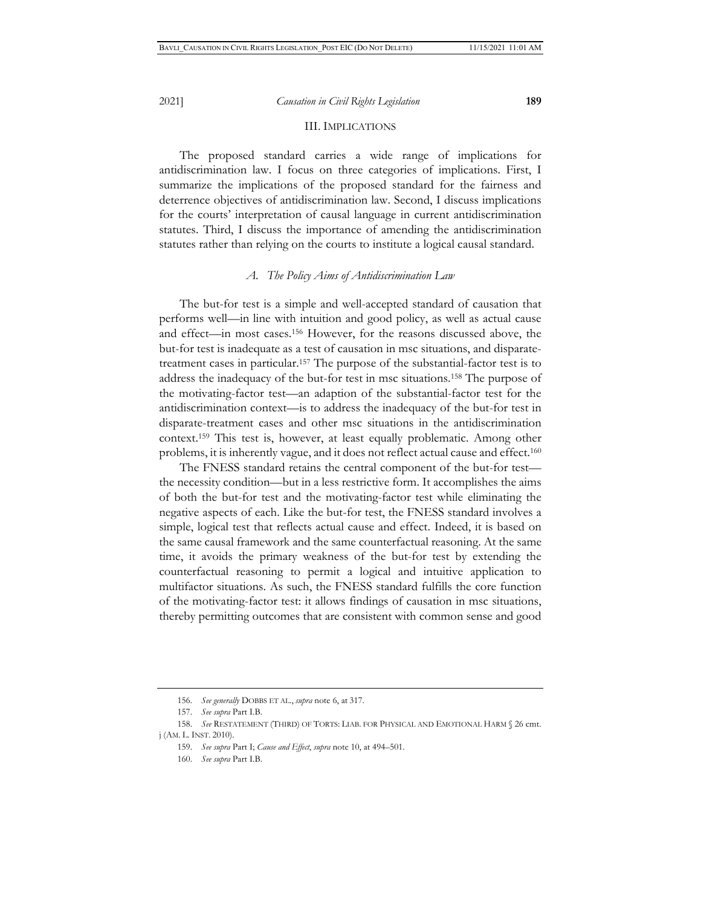#### III. IMPLICATIONS

The proposed standard carries a wide range of implications for antidiscrimination law. I focus on three categories of implications. First, I summarize the implications of the proposed standard for the fairness and deterrence objectives of antidiscrimination law. Second, I discuss implications for the courts' interpretation of causal language in current antidiscrimination statutes. Third, I discuss the importance of amending the antidiscrimination statutes rather than relying on the courts to institute a logical causal standard.

### *A. The Policy Aims of Antidiscrimination Law*

The but-for test is a simple and well-accepted standard of causation that performs well—in line with intuition and good policy, as well as actual cause and effect—in most cases.156 However, for the reasons discussed above, the but-for test is inadequate as a test of causation in msc situations, and disparatetreatment cases in particular.157 The purpose of the substantial-factor test is to address the inadequacy of the but-for test in msc situations.158 The purpose of the motivating-factor test—an adaption of the substantial-factor test for the antidiscrimination context—is to address the inadequacy of the but-for test in disparate-treatment cases and other msc situations in the antidiscrimination context.159 This test is, however, at least equally problematic. Among other problems, it is inherently vague, and it does not reflect actual cause and effect.160

The FNESS standard retains the central component of the but-for test the necessity condition—but in a less restrictive form. It accomplishes the aims of both the but-for test and the motivating-factor test while eliminating the negative aspects of each. Like the but-for test, the FNESS standard involves a simple, logical test that reflects actual cause and effect. Indeed, it is based on the same causal framework and the same counterfactual reasoning. At the same time, it avoids the primary weakness of the but-for test by extending the counterfactual reasoning to permit a logical and intuitive application to multifactor situations. As such, the FNESS standard fulfills the core function of the motivating-factor test: it allows findings of causation in msc situations, thereby permitting outcomes that are consistent with common sense and good

<sup>156.</sup> *See generally* DOBBS ET AL., *supra* note 6, at 317.

<sup>157.</sup> *See supra* Part I.B.

<sup>158.</sup> *See* RESTATEMENT (THIRD) OF TORTS: LIAB. FOR PHYSICAL AND EMOTIONAL HARM § 26 cmt. j (AM. L. INST. 2010).

<sup>159.</sup> *See supra* Part I; *Cause and Effect*, *supra* note 10, at 494–501.

<sup>160.</sup> *See supra* Part I.B.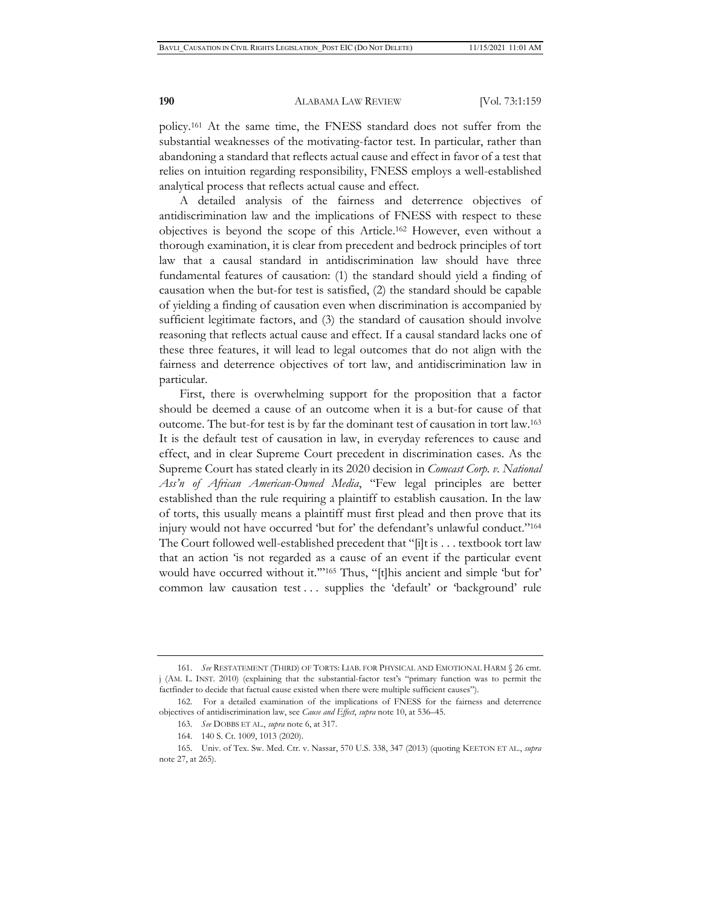policy.161 At the same time, the FNESS standard does not suffer from the substantial weaknesses of the motivating-factor test. In particular, rather than abandoning a standard that reflects actual cause and effect in favor of a test that relies on intuition regarding responsibility, FNESS employs a well-established analytical process that reflects actual cause and effect.

A detailed analysis of the fairness and deterrence objectives of antidiscrimination law and the implications of FNESS with respect to these objectives is beyond the scope of this Article.162 However, even without a thorough examination, it is clear from precedent and bedrock principles of tort law that a causal standard in antidiscrimination law should have three fundamental features of causation: (1) the standard should yield a finding of causation when the but-for test is satisfied, (2) the standard should be capable of yielding a finding of causation even when discrimination is accompanied by sufficient legitimate factors, and (3) the standard of causation should involve reasoning that reflects actual cause and effect. If a causal standard lacks one of these three features, it will lead to legal outcomes that do not align with the fairness and deterrence objectives of tort law, and antidiscrimination law in particular.

First, there is overwhelming support for the proposition that a factor should be deemed a cause of an outcome when it is a but-for cause of that outcome. The but-for test is by far the dominant test of causation in tort law.163 It is the default test of causation in law, in everyday references to cause and effect, and in clear Supreme Court precedent in discrimination cases. As the Supreme Court has stated clearly in its 2020 decision in *Comcast Corp. v. National Ass'n of African American-Owned Media*, "Few legal principles are better established than the rule requiring a plaintiff to establish causation. In the law of torts, this usually means a plaintiff must first plead and then prove that its injury would not have occurred 'but for' the defendant's unlawful conduct."164 The Court followed well-established precedent that "[i]t is . . . textbook tort law that an action 'is not regarded as a cause of an event if the particular event would have occurred without it."<sup>165</sup> Thus, "[t]his ancient and simple 'but for' common law causation test . . . supplies the 'default' or 'background' rule

<sup>161.</sup> *See* RESTATEMENT (THIRD) OF TORTS: LIAB. FOR PHYSICAL AND EMOTIONAL HARM § 26 cmt. j (AM. L. INST. 2010) (explaining that the substantial-factor test's "primary function was to permit the factfinder to decide that factual cause existed when there were multiple sufficient causes").

<sup>162.</sup> For a detailed examination of the implications of FNESS for the fairness and deterrence objectives of antidiscrimination law, see *Cause and Effect*, *supra* note 10, at 536–45.

<sup>163.</sup> *See* DOBBS ET AL., *supra* note 6, at 317.

<sup>164. 140</sup> S. Ct. 1009, 1013 (2020).

<sup>165.</sup> Univ. of Tex. Sw. Med. Ctr. v. Nassar, 570 U.S. 338, 347 (2013) (quoting KEETON ET AL., *supra* note 27, at 265).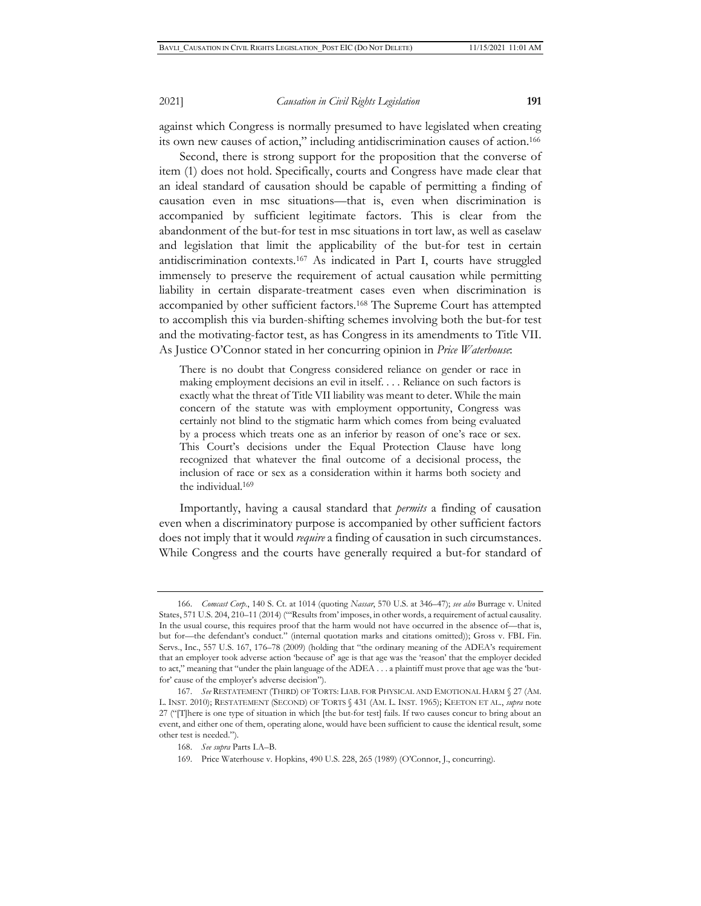against which Congress is normally presumed to have legislated when creating its own new causes of action," including antidiscrimination causes of action.166

Second, there is strong support for the proposition that the converse of item (1) does not hold. Specifically, courts and Congress have made clear that an ideal standard of causation should be capable of permitting a finding of causation even in msc situations—that is, even when discrimination is accompanied by sufficient legitimate factors. This is clear from the abandonment of the but-for test in msc situations in tort law, as well as caselaw and legislation that limit the applicability of the but-for test in certain antidiscrimination contexts.167 As indicated in Part I, courts have struggled immensely to preserve the requirement of actual causation while permitting liability in certain disparate-treatment cases even when discrimination is accompanied by other sufficient factors.168 The Supreme Court has attempted to accomplish this via burden-shifting schemes involving both the but-for test and the motivating-factor test, as has Congress in its amendments to Title VII. As Justice O'Connor stated in her concurring opinion in *Price Waterhouse*:

There is no doubt that Congress considered reliance on gender or race in making employment decisions an evil in itself. . . . Reliance on such factors is exactly what the threat of Title VII liability was meant to deter. While the main concern of the statute was with employment opportunity, Congress was certainly not blind to the stigmatic harm which comes from being evaluated by a process which treats one as an inferior by reason of one's race or sex. This Court's decisions under the Equal Protection Clause have long recognized that whatever the final outcome of a decisional process, the inclusion of race or sex as a consideration within it harms both society and the individual.169

Importantly, having a causal standard that *permits* a finding of causation even when a discriminatory purpose is accompanied by other sufficient factors does not imply that it would *require* a finding of causation in such circumstances. While Congress and the courts have generally required a but-for standard of

<sup>166.</sup> *Comcast Corp.*, 140 S. Ct. at 1014 (quoting *Nassar*, 570 U.S. at 346–47); *see also* Burrage v. United States, 571 U.S. 204, 210–11 (2014) ("'Results from' imposes, in other words, a requirement of actual causality. In the usual course, this requires proof that the harm would not have occurred in the absence of—that is, but for—the defendant's conduct." (internal quotation marks and citations omitted)); Gross v. FBL Fin. Servs., Inc., 557 U.S. 167, 176–78 (2009) (holding that "the ordinary meaning of the ADEA's requirement that an employer took adverse action 'because of' age is that age was the 'reason' that the employer decided to act," meaning that "under the plain language of the ADEA . . . a plaintiff must prove that age was the 'butfor' cause of the employer's adverse decision").

<sup>167.</sup> *See* RESTATEMENT (THIRD) OF TORTS: LIAB. FOR PHYSICAL AND EMOTIONAL HARM § 27 (AM. L. INST. 2010); RESTATEMENT (SECOND) OF TORTS § 431 (AM. L. INST. 1965); KEETON ET AL., *supra* note 27 ("[T]here is one type of situation in which [the but-for test] fails. If two causes concur to bring about an event, and either one of them, operating alone, would have been sufficient to cause the identical result, some other test is needed.").

<sup>168.</sup> *See supra* Parts I.A–B.

<sup>169.</sup> Price Waterhouse v. Hopkins, 490 U.S. 228, 265 (1989) (O'Connor, J., concurring).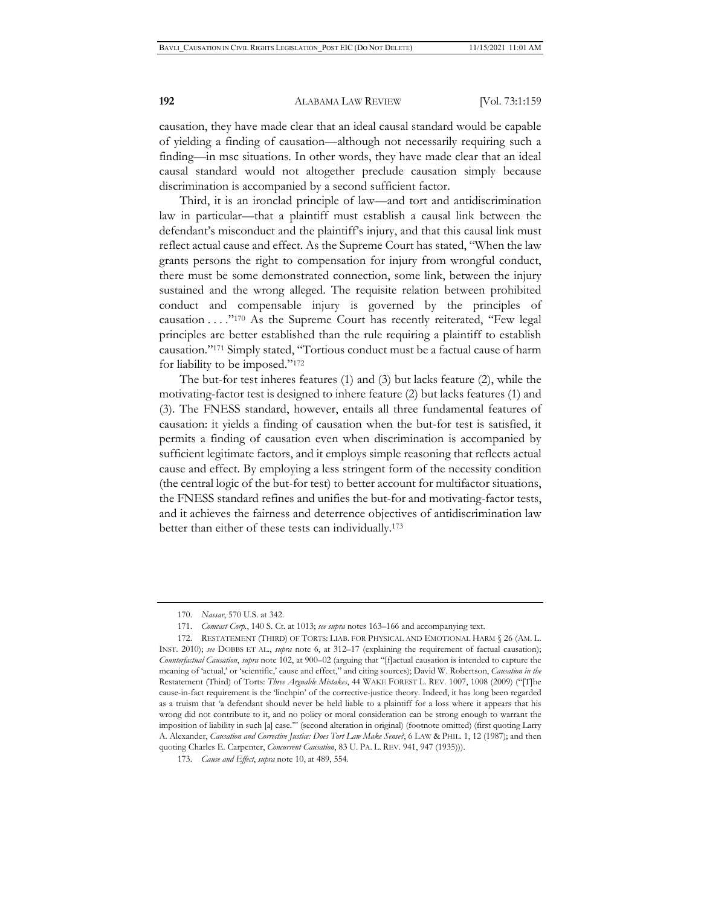causation, they have made clear that an ideal causal standard would be capable of yielding a finding of causation—although not necessarily requiring such a finding—in msc situations. In other words, they have made clear that an ideal causal standard would not altogether preclude causation simply because discrimination is accompanied by a second sufficient factor.

Third, it is an ironclad principle of law—and tort and antidiscrimination law in particular—that a plaintiff must establish a causal link between the defendant's misconduct and the plaintiff's injury, and that this causal link must reflect actual cause and effect. As the Supreme Court has stated, "When the law grants persons the right to compensation for injury from wrongful conduct, there must be some demonstrated connection, some link, between the injury sustained and the wrong alleged. The requisite relation between prohibited conduct and compensable injury is governed by the principles of causation . . . ."170 As the Supreme Court has recently reiterated, "Few legal principles are better established than the rule requiring a plaintiff to establish causation."171 Simply stated, "Tortious conduct must be a factual cause of harm for liability to be imposed."172

The but-for test inheres features (1) and (3) but lacks feature (2), while the motivating-factor test is designed to inhere feature (2) but lacks features (1) and (3). The FNESS standard, however, entails all three fundamental features of causation: it yields a finding of causation when the but-for test is satisfied, it permits a finding of causation even when discrimination is accompanied by sufficient legitimate factors, and it employs simple reasoning that reflects actual cause and effect. By employing a less stringent form of the necessity condition (the central logic of the but-for test) to better account for multifactor situations, the FNESS standard refines and unifies the but-for and motivating-factor tests, and it achieves the fairness and deterrence objectives of antidiscrimination law better than either of these tests can individually.173

<sup>170.</sup> *Nassar*, 570 U.S. at 342.

<sup>171.</sup> *Comcast Corp.*, 140 S. Ct. at 1013; *see supra* notes 163–166 and accompanying text.

<sup>172.</sup> RESTATEMENT (THIRD) OF TORTS: LIAB. FOR PHYSICAL AND EMOTIONAL HARM § 26 (AM. L. INST. 2010); *see* DOBBS ET AL., *supra* note 6, at 312–17 (explaining the requirement of factual causation); *Counterfactual Causation*, *supra* note 102, at 900–02 (arguing that "[f]actual causation is intended to capture the meaning of 'actual,' or 'scientific,' cause and effect," and citing sources); David W. Robertson, *Causation in the*  Restatement (Third) of Torts: *Three Arguable Mistakes*, 44 WAKE FOREST L. REV. 1007, 1008 (2009) ("[T]he cause-in-fact requirement is the 'linchpin' of the corrective-justice theory. Indeed, it has long been regarded as a truism that 'a defendant should never be held liable to a plaintiff for a loss where it appears that his wrong did not contribute to it, and no policy or moral consideration can be strong enough to warrant the imposition of liability in such [a] case."" (second alteration in original) (footnote omitted) (first quoting Larry A. Alexander, *Causation and Corrective Justice: Does Tort Law Make Sense?*, 6 LAW & PHIL. 1, 12 (1987); and then quoting Charles E. Carpenter, *Concurrent Causation*, 83 U. PA. L. REV. 941, 947 (1935))).

<sup>173.</sup> *Cause and Effect*, *supra* note 10, at 489, 554.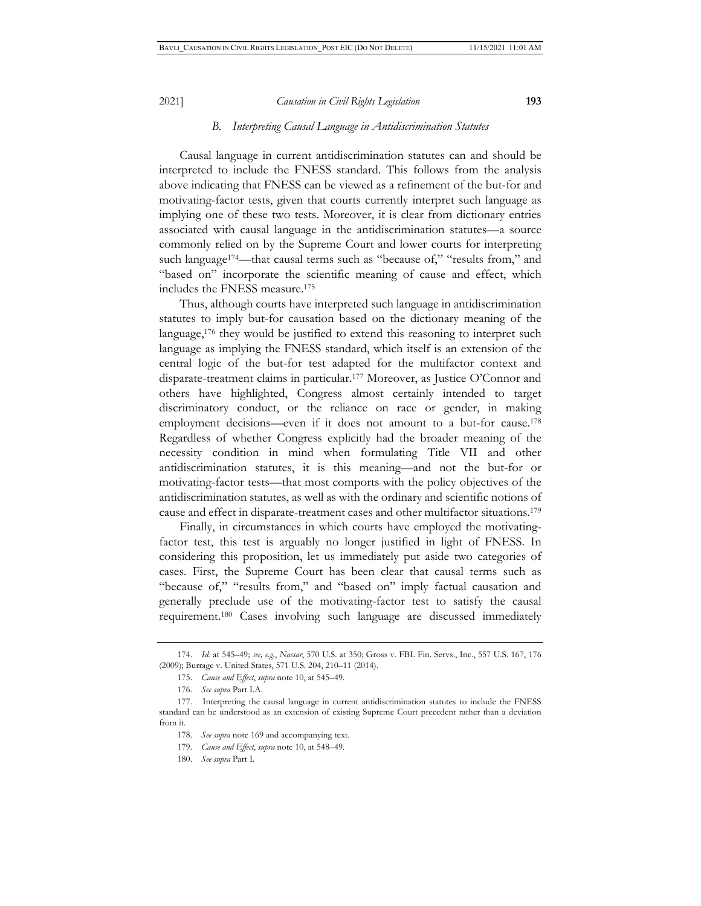#### *B. Interpreting Causal Language in Antidiscrimination Statutes*

Causal language in current antidiscrimination statutes can and should be interpreted to include the FNESS standard. This follows from the analysis above indicating that FNESS can be viewed as a refinement of the but-for and motivating-factor tests, given that courts currently interpret such language as implying one of these two tests. Moreover, it is clear from dictionary entries associated with causal language in the antidiscrimination statutes—a source commonly relied on by the Supreme Court and lower courts for interpreting such language<sup>174</sup>—that causal terms such as "because of," "results from," and "based on" incorporate the scientific meaning of cause and effect, which includes the FNESS measure.175

Thus, although courts have interpreted such language in antidiscrimination statutes to imply but-for causation based on the dictionary meaning of the language,<sup>176</sup> they would be justified to extend this reasoning to interpret such language as implying the FNESS standard, which itself is an extension of the central logic of the but-for test adapted for the multifactor context and disparate-treatment claims in particular.177 Moreover, as Justice O'Connor and others have highlighted, Congress almost certainly intended to target discriminatory conduct, or the reliance on race or gender, in making employment decisions—even if it does not amount to a but-for cause.<sup>178</sup> Regardless of whether Congress explicitly had the broader meaning of the necessity condition in mind when formulating Title VII and other antidiscrimination statutes, it is this meaning—and not the but-for or motivating-factor tests—that most comports with the policy objectives of the antidiscrimination statutes, as well as with the ordinary and scientific notions of cause and effect in disparate-treatment cases and other multifactor situations.179

Finally, in circumstances in which courts have employed the motivatingfactor test, this test is arguably no longer justified in light of FNESS. In considering this proposition, let us immediately put aside two categories of cases. First, the Supreme Court has been clear that causal terms such as "because of," "results from," and "based on" imply factual causation and generally preclude use of the motivating-factor test to satisfy the causal requirement.180 Cases involving such language are discussed immediately

<sup>174.</sup> *Id.* at 545–49; *see, e.g.*, *Nassar*, 570 U.S. at 350; Gross v. FBL Fin. Servs., Inc., 557 U.S. 167, 176 (2009); Burrage v. United States, 571 U.S. 204, 210–11 (2014).

<sup>175.</sup> *Cause and Effect*, *supra* note 10, at 545–49.

<sup>176.</sup> *See supra* Part I.A.

<sup>177.</sup> Interpreting the causal language in current antidiscrimination statutes to include the FNESS standard can be understood as an extension of existing Supreme Court precedent rather than a deviation from it.

<sup>178.</sup> *See supra* note 169 and accompanying text.

<sup>179.</sup> *Cause and Effect*, *supra* note 10, at 548–49.

<sup>180.</sup> *See supra* Part I.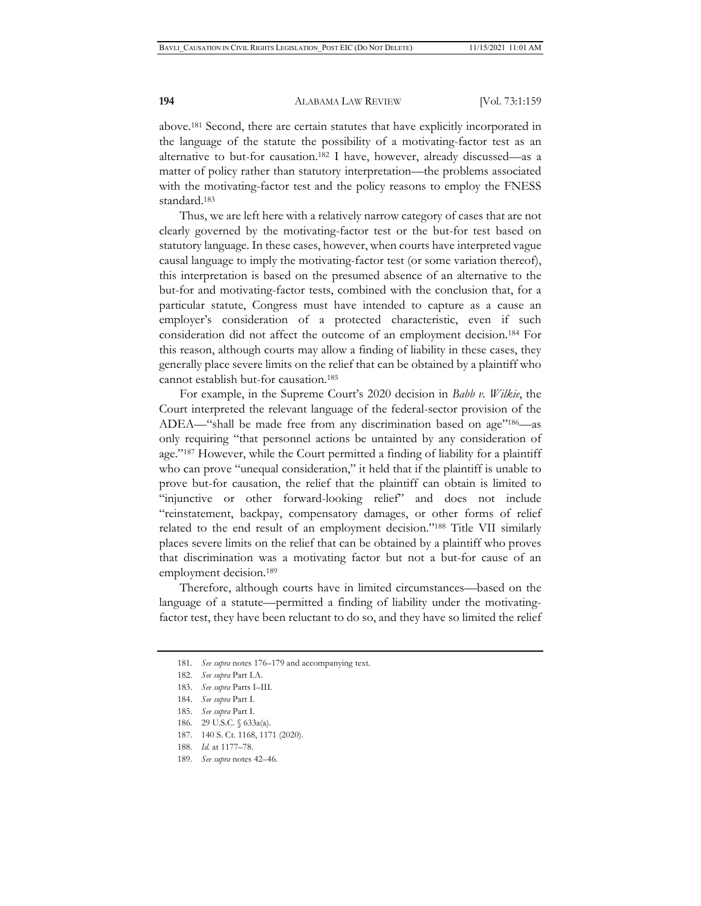above.181 Second, there are certain statutes that have explicitly incorporated in the language of the statute the possibility of a motivating-factor test as an alternative to but-for causation.182 I have, however, already discussed—as a matter of policy rather than statutory interpretation—the problems associated with the motivating-factor test and the policy reasons to employ the FNESS standard.183

Thus, we are left here with a relatively narrow category of cases that are not clearly governed by the motivating-factor test or the but-for test based on statutory language. In these cases, however, when courts have interpreted vague causal language to imply the motivating-factor test (or some variation thereof), this interpretation is based on the presumed absence of an alternative to the but-for and motivating-factor tests, combined with the conclusion that, for a particular statute, Congress must have intended to capture as a cause an employer's consideration of a protected characteristic, even if such consideration did not affect the outcome of an employment decision.184 For this reason, although courts may allow a finding of liability in these cases, they generally place severe limits on the relief that can be obtained by a plaintiff who cannot establish but-for causation.185

For example, in the Supreme Court's 2020 decision in *Babb v. Wilkie*, the Court interpreted the relevant language of the federal-sector provision of the ADEA—"shall be made free from any discrimination based on age"186—as only requiring "that personnel actions be untainted by any consideration of age."187 However, while the Court permitted a finding of liability for a plaintiff who can prove "unequal consideration," it held that if the plaintiff is unable to prove but-for causation, the relief that the plaintiff can obtain is limited to "injunctive or other forward-looking relief" and does not include "reinstatement, backpay, compensatory damages, or other forms of relief related to the end result of an employment decision."188 Title VII similarly places severe limits on the relief that can be obtained by a plaintiff who proves that discrimination was a motivating factor but not a but-for cause of an employment decision.189

Therefore, although courts have in limited circumstances—based on the language of a statute—permitted a finding of liability under the motivatingfactor test, they have been reluctant to do so, and they have so limited the relief

- 185. *See supra* Part I.
- 186. 29 U.S.C. § 633a(a).
- 187. 140 S. Ct. 1168, 1171 (2020).
- 188. *Id.* at 1177–78.
- 189. *See supra* notes 42–46.

<sup>181.</sup> *See supra* notes 176–179 and accompanying text.

<sup>182.</sup> *See supra* Part I.A.

<sup>183.</sup> *See supra* Parts I–III.

<sup>184.</sup> *See supra* Part I.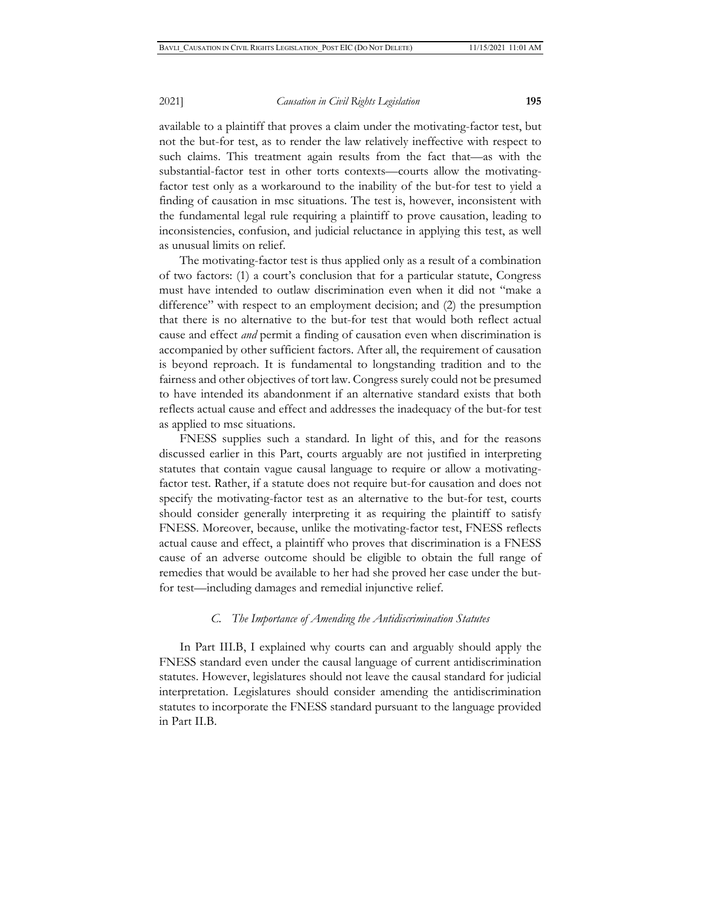available to a plaintiff that proves a claim under the motivating-factor test, but not the but-for test, as to render the law relatively ineffective with respect to such claims. This treatment again results from the fact that—as with the substantial-factor test in other torts contexts—courts allow the motivatingfactor test only as a workaround to the inability of the but-for test to yield a finding of causation in msc situations. The test is, however, inconsistent with the fundamental legal rule requiring a plaintiff to prove causation, leading to inconsistencies, confusion, and judicial reluctance in applying this test, as well as unusual limits on relief.

The motivating-factor test is thus applied only as a result of a combination of two factors: (1) a court's conclusion that for a particular statute, Congress must have intended to outlaw discrimination even when it did not "make a difference" with respect to an employment decision; and (2) the presumption that there is no alternative to the but-for test that would both reflect actual cause and effect *and* permit a finding of causation even when discrimination is accompanied by other sufficient factors. After all, the requirement of causation is beyond reproach. It is fundamental to longstanding tradition and to the fairness and other objectives of tort law. Congress surely could not be presumed to have intended its abandonment if an alternative standard exists that both reflects actual cause and effect and addresses the inadequacy of the but-for test as applied to msc situations.

FNESS supplies such a standard. In light of this, and for the reasons discussed earlier in this Part, courts arguably are not justified in interpreting statutes that contain vague causal language to require or allow a motivatingfactor test. Rather, if a statute does not require but-for causation and does not specify the motivating-factor test as an alternative to the but-for test, courts should consider generally interpreting it as requiring the plaintiff to satisfy FNESS. Moreover, because, unlike the motivating-factor test, FNESS reflects actual cause and effect, a plaintiff who proves that discrimination is a FNESS cause of an adverse outcome should be eligible to obtain the full range of remedies that would be available to her had she proved her case under the butfor test—including damages and remedial injunctive relief.

### *C. The Importance of Amending the Antidiscrimination Statutes*

In Part III.B, I explained why courts can and arguably should apply the FNESS standard even under the causal language of current antidiscrimination statutes. However, legislatures should not leave the causal standard for judicial interpretation. Legislatures should consider amending the antidiscrimination statutes to incorporate the FNESS standard pursuant to the language provided in Part II.B.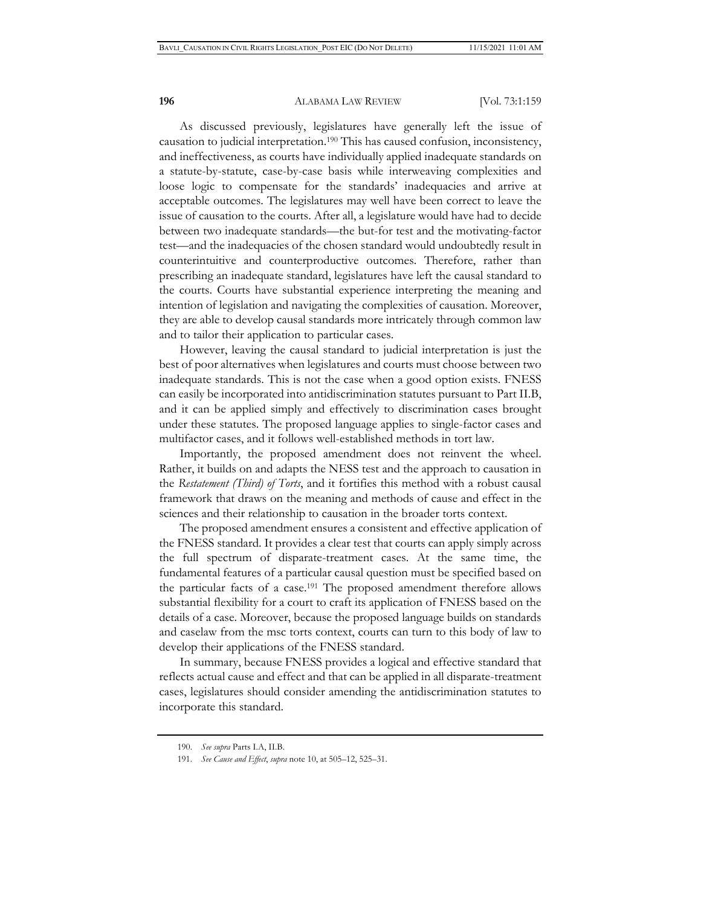As discussed previously, legislatures have generally left the issue of causation to judicial interpretation.190 This has caused confusion, inconsistency, and ineffectiveness, as courts have individually applied inadequate standards on a statute-by-statute, case-by-case basis while interweaving complexities and loose logic to compensate for the standards' inadequacies and arrive at acceptable outcomes. The legislatures may well have been correct to leave the issue of causation to the courts. After all, a legislature would have had to decide between two inadequate standards—the but-for test and the motivating-factor test—and the inadequacies of the chosen standard would undoubtedly result in counterintuitive and counterproductive outcomes. Therefore, rather than prescribing an inadequate standard, legislatures have left the causal standard to the courts. Courts have substantial experience interpreting the meaning and intention of legislation and navigating the complexities of causation. Moreover, they are able to develop causal standards more intricately through common law and to tailor their application to particular cases.

However, leaving the causal standard to judicial interpretation is just the best of poor alternatives when legislatures and courts must choose between two inadequate standards. This is not the case when a good option exists. FNESS can easily be incorporated into antidiscrimination statutes pursuant to Part II.B, and it can be applied simply and effectively to discrimination cases brought under these statutes. The proposed language applies to single-factor cases and multifactor cases, and it follows well-established methods in tort law.

Importantly, the proposed amendment does not reinvent the wheel. Rather, it builds on and adapts the NESS test and the approach to causation in the *Restatement (Third) of Torts*, and it fortifies this method with a robust causal framework that draws on the meaning and methods of cause and effect in the sciences and their relationship to causation in the broader torts context.

The proposed amendment ensures a consistent and effective application of the FNESS standard. It provides a clear test that courts can apply simply across the full spectrum of disparate-treatment cases. At the same time, the fundamental features of a particular causal question must be specified based on the particular facts of a case.191 The proposed amendment therefore allows substantial flexibility for a court to craft its application of FNESS based on the details of a case. Moreover, because the proposed language builds on standards and caselaw from the msc torts context, courts can turn to this body of law to develop their applications of the FNESS standard.

In summary, because FNESS provides a logical and effective standard that reflects actual cause and effect and that can be applied in all disparate-treatment cases, legislatures should consider amending the antidiscrimination statutes to incorporate this standard.

<sup>190.</sup> *See supra* Parts I.A, II.B.

<sup>191.</sup> *See Cause and Effect*, *supra* note 10, at 505–12, 525–31.